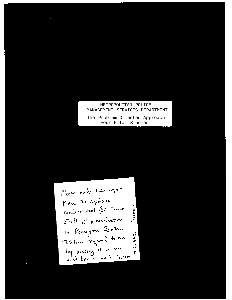## METROPOLITAN POLICE MANAGEMENT SERVICES DEPARTMENT

The Problem Oriented Approach Four Pilot Studies

Please make two copies. Place the copies in mailbasket for mike Herman Suitt atop mailhoxes in Renungton Center. Return organal to me Thackes. by placing it in my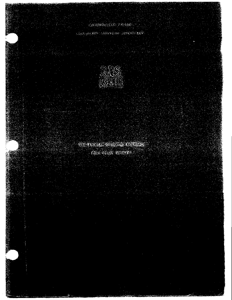# JERMINISTR PARK

# Algyardi Brownights and American La



# ville Processor of Having All Roads

# agn car switch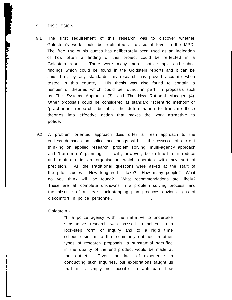### 9. DISCUSSION

- 9.1 The first requirement of this research was to discover whether Goldstein's work could be replicated at divisional level in the MPD. The free use of his quotes has deliberately been used as an indication of how often a finding of this project could be reflected in a Goldstein result. There were many more, both simple and subtle findings which could be found in the Goldstein reports and it can be said that, by any standards, his research has proved accurate when tested in this country. His thesis was also found to contain a number of theories which could be found, in part, in proposals such as The Systems Approach (3), and The New Rational Manager (4). Other proposals could be considered as standard 'scientific method<sup>1</sup> or 'practitioner research', but it is the determination to translate these theories into effective action that makes the work attractive to police.
- 9.2 A problem oriented approach does offer a fresh approach to the endless demands on police and brings with it the essence of current thinking on applied research, problem solving, multi-agency approach and 'bottom up' planning. It will, however, be difficult to introduce and maintain in an organisation which operates with any sort of precision. All the traditional questions were asked at the start of the pilot studies - How long will it take? How many people? What do you think will be found? What recommendations are likely? These are all complete unknowns in a problem solving process, and the absence of a clear, lock-stepping plan produces obvious signs of discomfort in police personnel.

Goldstein:-

"If a police agency with the initiative to undertake substantive research was pressed to adhere to a lock-step form of inquiry and to a rigid time schedule similar to that commonly outlined in other types of research proposals, a substantial sacrifice in the quality of the end product would be made at the outset. Given the lack of experience in conducting such inquiries, our explorations taught us that it is simply not possible to anticipate how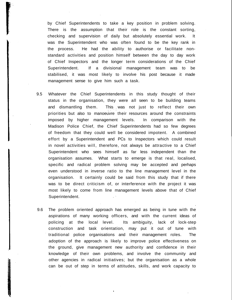by Chief Superintendents to take a key position in problem solving. There is the assumption that their role is the constant sorting, checking and supervision of daily but absolutely essential work. It was the Superintendent who was often found to be the key rank in the process. He had the ability to authorise or facilitate nonstandard activities and position himself between the day to day work of Chief Inspectors and the longer term considerations of the Chief Superintendent. If a divisional management team was to be stabilised, it was most likely to involve his post because it made management sense to give him such a task.

- 9.5 Whatever the Chief Superintendents in this study thought of their status in the organisation, they were all seen to be building teams and dismantling them. This was not just to reflect their own priorities but also to manoeuvre their resources around the constraints imposed by higher management levels. In comparison with the Madison Police Chief, the Chief Superintendents had so few degrees of freedom that they could well be considered impotent. A combined effort by a Superintendent and PCs to Inspectors which could result in novel activities will, therefore, not always be attractive to a Chief Superintendent who sees himself as far less independent than the organisation assumes. What starts to emerge is that real, localised, specific and radical problem solving may be accepted and perhaps even understood in inverse ratio to the line management level in the organisation. It certainly could be said from this study that if there was to be direct criticism of, or interference with the project it was most likely to come from line management levels above that of Chief Superintendent.
- 9.6 The problem oriented approach has emerged as being in tune with the aspirations of many working officers, and with the current ideas of policing at the local level. Its ambiguity, lack of lock-step construction and task orientation, may put it out of tune with traditional police organisations and their management roles. The adoption of the approach is likely to improve police effectiveness on the ground, give management new authority and confidence in their knowledge of their own problems, and involve the community and other agencies in radical initiatives; but the organisation as a whole can be out of step in terms of attitudes, skills, and work capacity to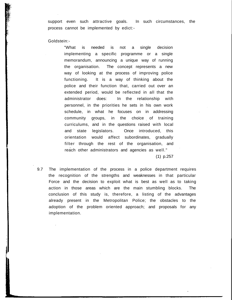support even such attractive goals. In such circumstances, the process cannot be implemented by edict:-

Goldstein:-

"What is needed is not a single decision implementing a specific programme or a single memorandum, announcing a unique way of running the organisation. The concept represents a new way of looking at the process of improving police functioning. It is a way of thinking about the police and their function that, carried out over an extended period, would be reflected in all that the administrator does: In the relationship with personnel, in the priorities he sets in his own work schedule, in what he focuses on in addressing community groups, in the choice of training curriculums, and in the questions raised with local and state legislators. Once introduced, this orientation would affect subordinates, gradually filter through the rest of the organisation, and reach other administrators and agencies as well."

(1) p.257

9.7 The implementation of the process in a police department requires the recognition of the strengths and weaknesses in that particular Force and the decision to exploit what is best as well as to taking action in those areas which are the main stumbling blocks. The conclusion of this study is, therefore, a listing of the advantages already present in the Metropolitan Police; the obstacles to the adoption of the problem oriented approach; and proposals for any implementation.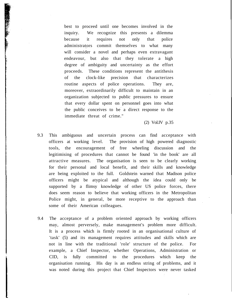best to proceed until one becomes involved in the inquiry. We recognize this presents a dilemma because it requires not only that police administrators commit themselves to what many will consider a novel and perhaps even extravagant endeavour, but also that they tolerate a high degree of ambiguity and uncertainty as the effort proceeds. These conditions represent the antithesis of the clock-like precision that characterizes routine aspects of police operations. They are, moreover, extraordinarily difficult to maintain in an organization subjected to public pressures to ensure that every dollar spent on personnel goes into what the public conceives to be a direct response to the immediate threat of crime."

(2) Vol.IV p.35

- 9.3 This ambiguous and uncertain process can find acceptance with officers at working level. The provision of high powered diagnostic tools, the encouragement of free wheeling discussion and the legitimising of procedures that cannot be found 'in the book' are all attractive measures. The organisation is seen to be clearly working for their personal and local benefit, and their skills and knowledge are being exploited to the full. Goldstein warned that Madison police officers might be atypical and although the idea could only be supported by a flimsy knowledge of other US police forces, there does seem reason to believe that working officers in the Metropolitan Police might, in general, be more receptive to the approach than some of their American colleagues.
- 9.4 The acceptance of a problem oriented approach by working officers may, almost perversely, make management's problem more difficult. It is a process which is firmly rooted in an organisational culture of 'task' (5) and its management requires attitudes and skills which are not in line with the traditional 'role' structure of the police. For example, a Chief Inspector, whether Operations, Administration or CID, is fully committed to the procedures which keep the organisation running. His day is an endless string of problems, and it was noted during this project that Chief Inspectors were never tasked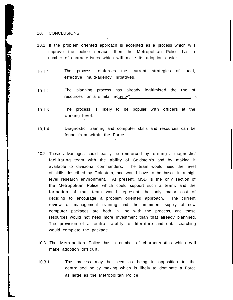#### 10. CONCLUSIONS

「大学の場合」、「大学の研究所の研究所の研究所の研究所である。<br>「インフィッシュ」、「インフィッシュ」、「インフィッシュ」、「インフィッシュ」、「インフィッシュ」、「インフィッシュ」、「インフィッシュ」、「インフィッシュ」、「

- 10.1 If the problem oriented approach is accepted as a process which will improve the police service, then the Metropolitan Police has a number of characteristics which will make its adoption easier.
- 10.1.1 The process reinforces the current strategies of local, effective, multi-agency initiatives.
- 10.1.2 The planning process has already legitimised the use of resources for a similar  $\arctan^{-1}$
- 10.1.3 The process is likely to be popular with officers at the working level.
- 10.1.4 Diagnostic, training and computer skills and resources can be found from within the Force.
- 10.2 These advantages couid easily be reinforced by forming a diagnostic/ facilitating team with the ability of Goldstein's and by making it available to divisional commanders. The team would need the level of skills described by Goldstein, and would have to be based in a high level research environment. At present, MSD is the only section of the Metropolitan Police which could support such a team, and the formation of that team would represent the only major cost of deciding to encourage a problem oriented approach. The current review of management training and the imminent supply of new computer packages are both in line with the process, and these resources would not need more investment than that already plannned. The provision of a central facility for literature and data searching would complete the package.
- 10.3 The Metropolitan Police has a number of characteristics which will make adoption difficult.
- 10.3.1 The process may be seen as being in opposition to the centralised policy making which is likely to dominate a Force as large as the Metropolitan Police.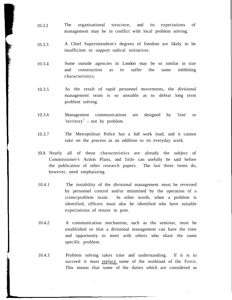- 10.3.2 The organisational structure, and its expectations of management may be in conflict with local problem solving.
- 10.3.3 A Chief Superintendent's degrees of freedom are likely to be insufficient to support radical initiatives.
- 10.3.4 Some outside agencies in London may be so similar in size and construction as to suffer the same inhibiting characteristics.
- 10.3.5 As the result of rapid personnel movements, the divisional management team is so unstable as to defeat long term problem solving.
- 10.3.6 Management communications are designed by 'line' or 'territory<sup>1</sup> - not by problem.
- 10.3.7 The Metropolitan Police has a full work load, and it cannot take on the process as an addition to its everyday work.
- 10.A Nearly all of these characteristics are already the subject of Commissioner's Action Plans, and little can usefully be said before the publication of other research papers. The last three items do, however, need emphasising.
- 10.4.1 The instability of the divisional management must be reversed by personnel control and/or minimised by the operation of a crime/problem team. In other words, when a problem is identified, officers must also be identified who have suitable expectations of tenure in post.
- 10.4.2 A communication mechanism, such as the seminar, must be established so that a divisional management can have the time and opportunity to meet with others who share the same specific problem.
- 10.4.3 Problem solving takes time and understanding. If it is to succeed it must replace some of the workload of the Force. This means that some of the duties which are considered as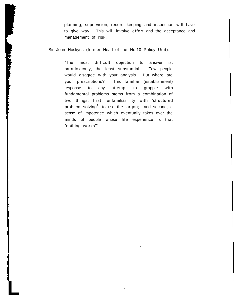planning, supervision, record keeping and inspection will have to give way. This will involve effort and the acceptance and management of risk.

Sir John Hoskyns (former Head of the No.10 Policy Unit):-

**L**

**The Second Second Second Second Second Second Second Second Second Second Second Second Second Second Second Second Second Second Second Second Second Second Second Second Second Second Second Second Second Second Second** 

"The most difficult objection to answer is, paradoxically, the least substantial. 'Few people would disagree with your analysis. But where are your prescriptions?' This familiar (establishment) response to any attempt to grapple with fundamental problems stems from a combination of two things: first, unfamiliar ity with 'structured problem solving<sup>1</sup>, to use the jargon; and second, a sense of impotence which eventually takes over the minds of people whose life experience is that 'nothing works'".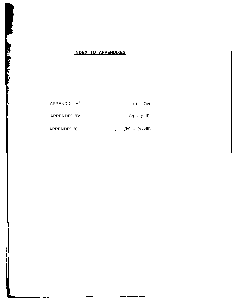# **INDEX TO APPENDIXES**

| APPENDIX $'A^1$ , (i) - Civ) |
|------------------------------|
| $APPENDIX 'B1$ (viii)        |
|                              |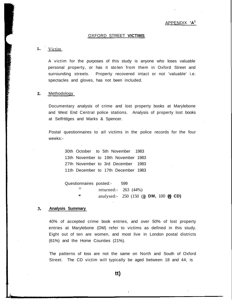#### OXFORD STREET **VICTIMS**

#### 1. Victim

A victim for the purposes of this study is anyone who loses valuable personal property, or has it stolen from them in Oxford Street and surrounding streets. Property recovered intact or not 'valuable' i.e. spectacles and gloves, has not been included.

#### $2.$ Methodology

Documentary analysis of crime and lost property books at Marylebone and West End Central police stations. Analysis of property lost books at Selfrtdges and Marks & Spencer.

Postal questionnaires to all victims in the police records for the four weeks:-

> 30th October to 5th November 1983 13th November to 19th November 1983 27th November to 3rd December 1983 11th December to 17th December 1983

Questionnaires posted:- 599 11 returned:- 263 (44%) analysed:- 250 (150 (j **DM,** 100 **(a) CD)**

#### 3. **Analysis Summary**

**L**

40% of accepted crime book entries, and over 50% of lost property entries at Marylebone (DM) refer to victims as defined in this study. Eight out of ten are women, and most live in London postal districts (61%) and the Home Counties (21%).

The patterns of loss are not the same on North and South of Oxford Street. The CD victim will typically be aged between 18 and 44, is

**tt)**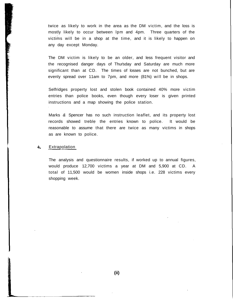twice as likely to work in the area as the DM victim, and the loss is mostly likely to occur between lpm and 4pm. Three quarters of the victims will be in a shop at the time, and it is likely to happen on any day except Monday.

The DM victim is likely to be an older, and less frequent visitor and the recognised danger days of Thursday and Saturday are much more significant than at CD. The times of losses are not bunched, but are evenly spread over 11am to 7pm, and more (81%) will be in shops.

Selfridges property lost and stolen book contained 40% more victim entries than police books, even though every loser is given printed instructions and a map showing the police station.

Marks & Spencer has no such instruction leaflet, and its property lost records showed treble the entries known to police. It would be reasonable to assume that there are twice as many victims in shops as are known to police.

#### 4. **Extrapolation**

The analysis and questionnaire results, if worked up to annual figures, would produce 12,700 victims a year at DM and 5,900 at CD. A total of 11,500 would be women inside shops i.e. 228 victims every shopping week.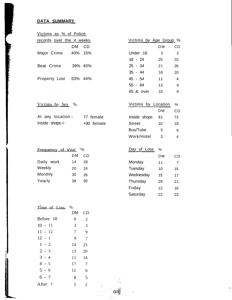# **DATA SUMMARY**

ling.

| Victims as % of Police   |         |     |                               |           |                |
|--------------------------|---------|-----|-------------------------------|-----------|----------------|
| records over the 4 weeks |         |     | <u>Victims by Age Group</u> % |           |                |
|                          | DМ      | CD. |                               | <b>DM</b> | <b>CD</b>      |
| Major Crime              | 40% 15% |     | Under 18                      | 3         | 2              |
|                          |         |     | $18 - 24$                     | 25        | 32             |
| Beat Crime               | 39% 40% |     | $25 - 34$                     | 21        | 26             |
|                          |         |     | $35 - 44$                     | 18        | 20             |
| Property Lost 53% 44%    |         |     | 45 - 54                       | 11        | $\overline{4}$ |
|                          |         |     | $55 - 64$                     | 13        | 9              |
| ٠                        |         |     | 65 & over                     | 10        | 6              |

 $(iii)$ 

| %<br><u>Victims by Sex</u> |
|----------------------------|
|----------------------------|

| At any location:- | 77 female  |
|-------------------|------------|
| Inside shops:-!-  | +90 female |

| Victims by Location |    | %  |
|---------------------|----|----|
|                     | DМ | СD |
| Inside shops        | 81 | 72 |
| Street              | 10 | 18 |
| Bus/Tube            | 5  | 6  |
| Work/Hotel          | 3  | Δ  |
|                     |    |    |

| $\frac{6}{6}$<br>Frequency of Visit |    |    |  |  |
|-------------------------------------|----|----|--|--|
|                                     | DМ | СD |  |  |
| Daily work                          | 14 | 28 |  |  |
| Weekly                              | 20 | 16 |  |  |
| Monthly<br>٠                        | 30 | 26 |  |  |
| Yearly                              | 38 | 30 |  |  |
|                                     |    |    |  |  |

| Day of Loss | $\%$ |    |
|-------------|------|----|
|             | DМ   | СD |
| Monday      | 11   | 7  |
| Tuesday     | 10   | 15 |
| Wednesday   | 15   | 17 |
| Thursday    | 29   | 21 |
| Friday      | 12   | 16 |
| Saturday    | 22   | 23 |

| Time of Loss       | $\%$ |                |
|--------------------|------|----------------|
|                    | DM   | CD             |
| Before 10          | 0    | $\overline{2}$ |
| $10 - 11$          | 3    | 3              |
| 11 - 12            | 7    | 9              |
| $12 - 1$           | 9    | 7              |
| $1 - 2$            | 14   | 25             |
| $2 - 3$            | 13   | 20             |
| $3 - 4$            | 11   | 14             |
| $4 - 5$            | 17   | 7              |
| $5 - 6$            | 12   | 6              |
| $6 - 7$            | 8    | 5              |
| After <sub>7</sub> | 5    | $\overline{2}$ |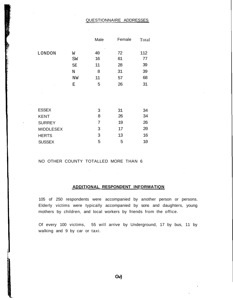# QUESTIONNAIRE ADDRESSES

|                  |    | Male | Female | Total |
|------------------|----|------|--------|-------|
| LONDON           | W  | 40   | 72     | 112   |
|                  | SW | 16   | 61     | 77    |
|                  | 5E | 11   | 28     | 39    |
|                  | N  | 8    | 31     | 39    |
|                  | NW | 11   | 57     | 68    |
|                  | Ε  | 5    | 26     | 31    |
|                  |    |      |        |       |
|                  |    |      |        |       |
|                  |    |      |        |       |
| <b>ESSEX</b>     |    | 3    | 31     | 34    |
| <b>KENT</b>      |    | 8    | 26     | 34    |
| <b>SURREY</b>    |    | 7    | 19     | 26    |
| <b>MIDDLESEX</b> |    | 3    | 17     | 20    |
| <b>HERTS</b>     |    | 3    | 13     | 16    |
| <b>SUSSEX</b>    |    | 5    | 5      | 10    |

### NO OTHER COUNTY TOTALLED MORE THAN 6

### **ADDITIONAL RESPONDENT INFORMATION**

 $\bar{z}$ 

105 of 250 respondents were accompanied by another person or persons. Elderly victims were typically accompanied by sons and daughters, young mothers by children, and local workers by friends from the office.

Of every 100 victims, 55 will arrive by Underground, 17 by bus, 11 by walking and 9 by car or taxi.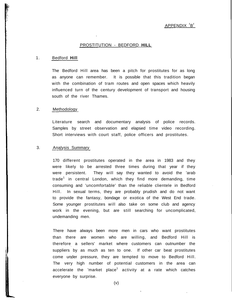### PROSTITUTION - BEDFORD **HILL**

#### 1. Bedford **Hill**

The Bedford Hill area has been a pitch for prostitutes for as long as anyone can remember. It is possible that this tradition began with the combination of tram routes and open spaces which heavily influenced turn of the century development of transport and housing south of the river Thames.

#### 2. Methodology

Literature search and documentary analysis of police records. Samples by street observation and elapsed time video recording. Short interviews with court staff, police officers and prostitutes.

### 3. Analysis Summary

170 different prostitutes operated in the area in 1983 and they were likely to be arrested three times during that year if they were persistent. They will say they wanted to avoid the 'arab trade<sup>1</sup> in central London, which they find more demanding, time consuming and 'uncomfortable' than the reliable clientele in Bedford Hill. In sexual terms, they are probably prudish and do not want to provide the fantasy, bondage or exotica of the West End trade. Some younger prostitutes will also take on some club and agency work in the evening, but are still searching for uncomplicated, undemanding men.

There have always been more men in cars who want prostitutes than there are women who are willing, and Bedford Hill is therefore a sellers' market where customers can outnumber the suppliers by as much as ten to one. If other car beat prostitutes come under pressure, they are tempted to move to Bedford Hill. The very high number of potential customers in the area can accelerate the 'market place $^1$  activity at a rate which catches everyone by surprise.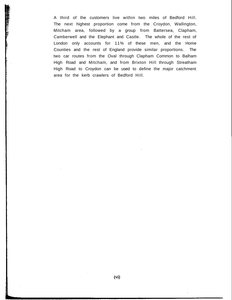A third of the customers live within two miles of Bedford Hill. The next highest proportion come from the Croydon, Wallington, Mitcham area, followed by a group from Battersea, Clapham, Camberwell and the Elephant and Castle. The whole of the rest of London only accounts for 11% of these men, and the Home Counties and the rest of England provide similar proportions. The two car routes from the Oval through Clapham Common to Balham High Road and Mitcham, and from Brixton Hill through Streatham High Road to Croydon can be used to define the major catchment area for the kerb crawlers of Bedford Hill.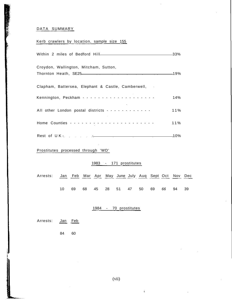### DATA SUMMARY

### Kerb crawlers by location, sample size 155

| Croydon, Wallington, Mitcham, Sutton,                     |        |
|-----------------------------------------------------------|--------|
| Clapham, Battersea, Elephant & Castle, Camberwell,        |        |
|                                                           | 14%    |
| All other London postal districts - - - - - - - - - - - - | 11%    |
|                                                           | $11\%$ |
| Rest of UK-10%                                            |        |

Prostitutes processed through 'WD'

### 1983 - 171 prostitutes

Arrests: Jan Feb Mar Apr May June July Aug Sept Oct Nov Dec 10 69 68 45 28 51 47 50 69 66 94 39

### 1984 - 70 prostitutes

Arrests: **Jan** Feb

84 60

 $\ddot{\bullet}$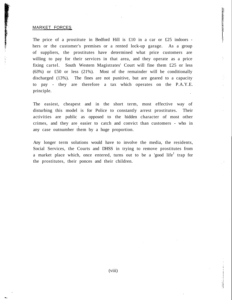### MARKET FORCES

The price of a prostitute in Bedford Hill is  $£10$  in a car or £25 indoors hers or the customer's premises or a rented lock-up garage. As a group of suppliers, the prostitutes have determined what price customers are willing to pay for their services in that area, and they operate as a price fixing cartel. South Western Magistrates' Court will fine them £25 or less (63%) or £50 or less (21%). Most of the remainder will be conditionally discharged (13%). The fines are not punitive, but are geared to a capacity to pay - they are therefore a tax which operates on the P.A.Y.E. principle.

The easiest, cheapest and in the short term, most effective way of disturbing this model is for Police to constantly arrest prostitutes. Their activities are public as opposed to the hidden character of most other crimes, and they are easier to catch and convict than customers - who in any case outnumber them by a huge proportion.

Any longer term solutions would have to involve the media, the residents, Social Services, the Courts and DHSS in trying to remove prostitutes from a market place which, once entered, turns out to be a 'good life<sup>1</sup> trap for the prostitutes, their ponces and their children.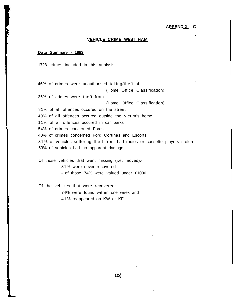#### **APPENDIX 'C**

### **VEHICLE CRIME WEST HAM**

#### **Data Summary - 1983**

1728 crimes included in this analysis.

46% of crimes were unauthorised taking/theft of (Home Office Classification) 36% of crimes were theft from (Home Office Classification) 81% of all offences occured on the street 40% of all offences occured outside the victim's home 11% of all offences occured in car parks 54% of crimes concerned Fords 40% of crimes concerned Ford Cortinas and Escorts 31% of vehicles suffering theft from had radios or cassette players stolen 53% of vehicles had no apparent damage

Of those vehicles that went missing (i.e. moved):-

31% were never recovered

- of those 74% were valued under £1000

Of the vehicles that were recovered:-

74% were found within one week and 41% reappeared on KW or KF

**Ox)**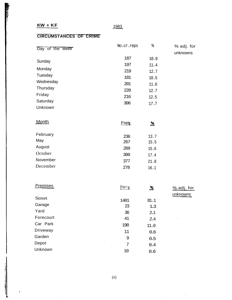à.

 $\sim$ 

ľ

## 1983

# **CIRCUMSTANCES OF CRIME**

| Day of the week | No.cr.reps   | ∻              | % adj. for   |
|-----------------|--------------|----------------|--------------|
|                 |              |                | unknowns     |
| Sunday          | 187          | 10.8           |              |
|                 | 197          | 11.4           |              |
| Monday          | 219          | 12.7           |              |
| Tuesday         | 181          | 10.5           |              |
| Wednesday       | 201          | 11.6           |              |
| Thursday        | 220          | 12.7           |              |
| Friday          | 216          | 12.5           |              |
| Saturday        | 306          | 17.7           |              |
| Unknown         |              |                |              |
| <b>Month</b>    | <b>Fren</b>  | $\frac{96}{5}$ |              |
| February        | 236          | 13.7           |              |
| May             | 267          | 15.5           |              |
| August          | 269          | 15.6           |              |
| October         | 300          | 17.4           |              |
| November        | 377          | 21.8           |              |
| December        | 278          | 16.1           |              |
| <b>Premises</b> | $Fre \leq 1$ | <u>‰</u>       | $%$ adj. for |
|                 |              |                | unknowns     |
| <b>Street</b>   | 1401         | 81.1           |              |
| Garage          | 23           | 1.3            |              |
| Yard            | 36           | 2.1            |              |
| Forecourt       | 41           | 2.4            |              |
| Car Park        | 190          | 11.0           |              |
| Driveway        | 11           | 0.6            |              |
| Garden          | 9            | 0.5            |              |
| Depot           | 7            | 0.4            |              |
| Unknown         | 10           | 0.6            |              |

(x)

 $\hat{\mathcal{A}}$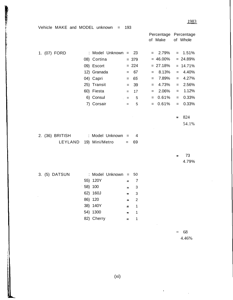| Vehicle MAKE and MODEL unknown $=$ | 193                            |                |                  |                                   |
|------------------------------------|--------------------------------|----------------|------------------|-----------------------------------|
|                                    |                                |                | of Make          | Percentage Percentage<br>of Whole |
| 1. (07) FORD                       | : Model Unknown = $23$         |                | $= 2.79\%$       | $= 1.51\%$                        |
|                                    | 08) Cortina                    | $= 379$        | $= 46.00\%$      | $= 24.89%$                        |
|                                    | 09) Escort                     | $= 224$        | $= 27.18%$       | $= 14.71\%$                       |
|                                    | 12) Granada                    | $= 67$         | 8.13%<br>$=$     | 4.40%<br>$=$ $-$                  |
|                                    | 04) Capri<br>$=$               | 65             | 7.89%<br>$=$     | 4.27%<br>$=$                      |
|                                    | 25) Transit<br>$=$             | 39             | 4.73%<br>$=$     | 2.56%<br>$=$                      |
|                                    | 60) Fiesta<br>$=$              | 17             | 2.06%<br>$=$ $-$ | 1.12%<br>$=$                      |
|                                    | 6) Consul<br>$\sim 100$<br>$=$ | 5              | 0.61%<br>$=$     | 0.33%<br>$=$                      |
|                                    | 7) Corsair<br>$=$              | 5              | 0.61%<br>$=$     | 0.33%<br>$=$                      |
|                                    |                                |                |                  |                                   |
|                                    |                                |                |                  | 824<br>$=$                        |
|                                    |                                |                |                  | 54.1%                             |
|                                    |                                |                |                  |                                   |
| 2. (36) BRITISH                    | : Model Unknown =              | 4              |                  |                                   |
| LEYLAND                            | 19) Mini/Metro<br>$=$          | 69             |                  |                                   |
|                                    |                                |                |                  |                                   |
|                                    |                                |                |                  | 73<br>$\equiv$                    |
|                                    |                                |                |                  | 4.79%                             |
|                                    |                                |                |                  |                                   |
| 3. (5) DATSUN                      | : Model Unknown = 50           |                |                  |                                   |
|                                    | 55) 120Y<br>$=$                | 7              |                  |                                   |
|                                    | 58) 100<br>$\equiv$            | 3              |                  |                                   |
|                                    | $62)$ 160J                     | 3              |                  |                                   |
|                                    | 86) 120<br>Ξ                   | $\overline{c}$ |                  |                                   |
|                                    | 38) 140Y<br>Ξ                  | 1              |                  |                                   |
|                                    | 54) 1300<br>Ξ                  | 1              |                  |                                   |
|                                    | 82) Cherry<br>$\equiv$         | 1              |                  |                                   |
|                                    |                                |                |                  |                                   |

PARTIES IN THE PARTIES OF THE PARTY OF THE PARTY OF THE PARTY.

 $= 68$ 4.46%

 $\overline{\phantom{a}}$ 

 $\mathbf i$ 

 $\cdot$ 

(xi)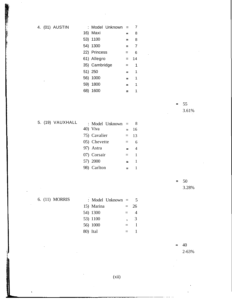4. (01) AUSTIN

■ 東東市 アンディア (2000年) 電話の調査

|               | : Model Unknown | $=$      | 7              |  |
|---------------|-----------------|----------|----------------|--|
| 16) Maxi      |                 | $=$      | 8              |  |
| 53) 1100      |                 | ⋍        | 8              |  |
| 54) 1300      |                 | =        | $\overline{7}$ |  |
| 22) Princess  |                 | =        | 6              |  |
| 61) Allegro   |                 | $=$      | 14             |  |
| 35) Cambridge |                 | =        | 1              |  |
| 51) 250       |                 | $=$      | 1              |  |
| 56) 1000      |                 | $=$      | 1              |  |
| 59) 1800      |                 | $\equiv$ | 1              |  |
| 68) 1600      |                 |          | 1              |  |

5. (19) VAUXHALL

| : Model Unknown = |          | 8            |
|-------------------|----------|--------------|
| 40) Viva          |          | $=$ 16       |
| 75) Cavalier      | $=$      | 13           |
| 05) Chevette      | $\equiv$ | 6            |
| 97) Astra         | $=$      | 4            |
| 07) Corsair       | $\equiv$ | $\mathbf{1}$ |
| 57) 2000          | $=$      | 1            |
| 98) Carlton       |          |              |

 $= 50$ 3.28%

 $= 55$ 

3.61%

6. (11) MORRIS

 $\bar{\beta}$ 

|            | : Model Unknown $=$ |     |    |  |
|------------|---------------------|-----|----|--|
| 15) Marina |                     | $=$ | 26 |  |
| 54) 1300   |                     | $=$ | 4  |  |
| 53) 1100   |                     | s   | 3  |  |
| 56) 1000   |                     |     |    |  |
| 80) Ital   |                     |     |    |  |

 $= 40$ 2-63%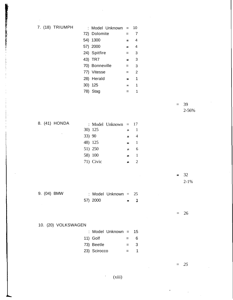7. (18) TRIUMPH

 $\mathcal{A}^{\mathcal{A}}$ 

The state of the state of the state of the state of the state of the state of the state of the state of the state of the state of the state of the state of the state of the state of the state of the state of the state of t

| : Model Unknown = |     | 10             |  |
|-------------------|-----|----------------|--|
| 72) Dolomite      |     | 7              |  |
| 54) 1300          | =   | 4              |  |
| 57) 2000          | ᆍ   | 4              |  |
| 24) Spitfire      | $=$ | 3              |  |
| 43) TR7           | $=$ | 3              |  |
| 70) Bonneville    | =   | 3              |  |
| 77) Vitesse       | $=$ | $\overline{2}$ |  |
| 28) Herald        | =   | 1              |  |
| 30) 125           | $=$ | 1              |  |
| 78) Stag          |     | 1              |  |

 $= 39$ 2-56%

8. (41) HONDA

 $\sim 10$ 

|        |           | : Model Unknown $=$ |     | 17           |
|--------|-----------|---------------------|-----|--------------|
|        | 30) 125   |                     |     | 1            |
| 33) 90 |           |                     | =   |              |
|        | 48) 125   |                     | = 1 | $\mathbf{1}$ |
|        | 51) 250   |                     | ≃   | 6            |
|        | 58) 100   |                     | Ξ.  |              |
|        | 71) Civic |                     |     | 2            |
|        |           |                     |     |              |

 $\mathcal{L}_{\mathrm{eff}}$ 

 $= 32$ 2-1%

 $\mathcal{L}_{\mathrm{eff}}$ 

9. (04) BMW : Model Unknown = 25 57) 2000  $=$  1

 $= 26$ 

10. (20) VOLKSWAGEN

| : Model Unknown = 15 |     |   |
|----------------------|-----|---|
| 11) Golf             | $=$ | 6 |
| 73) Beetle           | $=$ | 3 |
| 23) Scirocco         | $=$ | 1 |

= *25*

 $\mathbb{R}^2$ 

f.

(xiii)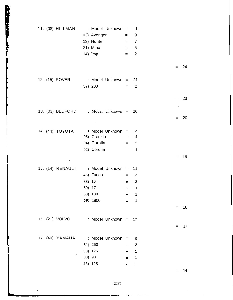|  | 11. (08) HILLMAN : Model Unknown = 1   |                     | 03) Avenger = 9<br>13) Hunter $= 7$<br>21) Minx $= 5$<br>14) Imp $= 2$ |         |                            |        |     |        |
|--|----------------------------------------|---------------------|------------------------------------------------------------------------|---------|----------------------------|--------|-----|--------|
|  |                                        |                     |                                                                        |         |                            |        |     | $= 24$ |
|  |                                        |                     |                                                                        |         |                            |        |     |        |
|  | 12. (15) ROVER : Model Unknown = 21    |                     |                                                                        |         |                            |        |     |        |
|  | <b>Contractor</b>                      |                     | $57) 200 = 2$                                                          |         |                            |        |     |        |
|  |                                        |                     |                                                                        |         |                            | $\sim$ |     | $= 23$ |
|  |                                        |                     |                                                                        |         |                            |        |     |        |
|  | 13. (03) BEDFORD : Model Unknown = 20  |                     |                                                                        |         |                            |        |     |        |
|  |                                        |                     |                                                                        |         |                            |        | $=$ | 20     |
|  |                                        | $\sim$ $\sim$       |                                                                        |         |                            |        |     |        |
|  | 14. $(44)$ TOYOTA : Model Unknown = 12 |                     |                                                                        |         |                            |        |     |        |
|  |                                        |                     | 95) Cresida $= 4$                                                      |         |                            |        |     |        |
|  |                                        |                     | 94) Corolla $= 2$                                                      |         |                            |        |     |        |
|  |                                        |                     | 92) Corona $= 1$                                                       |         |                            |        |     |        |
|  |                                        |                     |                                                                        |         |                            |        |     | $=$ 19 |
|  |                                        |                     |                                                                        |         |                            |        |     |        |
|  | 15. (14) RENAULT : Model Unknown = 11  |                     |                                                                        |         |                            |        |     |        |
|  |                                        | 45) Fuego           |                                                                        | $= 2$   |                            |        |     |        |
|  |                                        | 88) 16              | $\equiv$ 2                                                             |         |                            |        |     |        |
|  |                                        | 50) 17              |                                                                        | $=$ 1   |                            |        |     |        |
|  |                                        | 58) 100<br>59) 1800 |                                                                        |         | $\mathbf 1$<br>$\mathbf 1$ |        |     |        |
|  |                                        |                     |                                                                        |         |                            |        | $=$ | 18     |
|  |                                        |                     |                                                                        |         |                            |        |     |        |
|  | 16. (21) VOLVO                         |                     | Model Unknown = 17                                                     |         |                            |        |     |        |
|  |                                        |                     |                                                                        |         |                            |        |     | 17     |
|  |                                        |                     |                                                                        |         |                            |        |     |        |
|  |                                        |                     |                                                                        |         | 9                          |        |     |        |
|  |                                        | 51) 250             |                                                                        | $=$     | 2                          |        |     |        |
|  |                                        | 30) 125             |                                                                        | $=$     | $\overline{1}$             |        |     |        |
|  |                                        | 33) 90              |                                                                        | $=$ $-$ | $\overline{\phantom{1}}$   |        |     |        |
|  |                                        | 48) 125             |                                                                        | Ξ.      | $\mathbf 1$                |        |     |        |
|  |                                        |                     |                                                                        |         |                            |        |     | 14     |

(xiv)

 $\ddot{\phantom{a}}$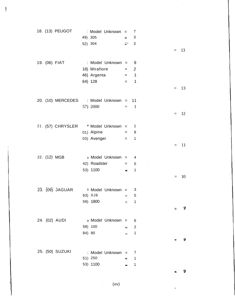|  |                                                                                                         |                                                                                                                                                              |             | -7                                                                                     |                                                                                                                                                                                                                                                                                                                                                                                                                                         |  |                                                             |
|--|---------------------------------------------------------------------------------------------------------|--------------------------------------------------------------------------------------------------------------------------------------------------------------|-------------|----------------------------------------------------------------------------------------|-----------------------------------------------------------------------------------------------------------------------------------------------------------------------------------------------------------------------------------------------------------------------------------------------------------------------------------------------------------------------------------------------------------------------------------------|--|-------------------------------------------------------------|
|  |                                                                                                         |                                                                                                                                                              |             |                                                                                        |                                                                                                                                                                                                                                                                                                                                                                                                                                         |  |                                                             |
|  |                                                                                                         |                                                                                                                                                              |             | 3                                                                                      |                                                                                                                                                                                                                                                                                                                                                                                                                                         |  |                                                             |
|  |                                                                                                         |                                                                                                                                                              |             |                                                                                        |                                                                                                                                                                                                                                                                                                                                                                                                                                         |  |                                                             |
|  |                                                                                                         |                                                                                                                                                              |             |                                                                                        |                                                                                                                                                                                                                                                                                                                                                                                                                                         |  |                                                             |
|  |                                                                                                         |                                                                                                                                                              |             |                                                                                        |                                                                                                                                                                                                                                                                                                                                                                                                                                         |  |                                                             |
|  |                                                                                                         |                                                                                                                                                              |             |                                                                                        |                                                                                                                                                                                                                                                                                                                                                                                                                                         |  |                                                             |
|  |                                                                                                         |                                                                                                                                                              |             |                                                                                        |                                                                                                                                                                                                                                                                                                                                                                                                                                         |  |                                                             |
|  |                                                                                                         |                                                                                                                                                              |             |                                                                                        |                                                                                                                                                                                                                                                                                                                                                                                                                                         |  |                                                             |
|  |                                                                                                         |                                                                                                                                                              |             |                                                                                        |                                                                                                                                                                                                                                                                                                                                                                                                                                         |  |                                                             |
|  |                                                                                                         |                                                                                                                                                              |             |                                                                                        |                                                                                                                                                                                                                                                                                                                                                                                                                                         |  |                                                             |
|  |                                                                                                         |                                                                                                                                                              |             |                                                                                        |                                                                                                                                                                                                                                                                                                                                                                                                                                         |  |                                                             |
|  |                                                                                                         |                                                                                                                                                              |             |                                                                                        |                                                                                                                                                                                                                                                                                                                                                                                                                                         |  |                                                             |
|  |                                                                                                         |                                                                                                                                                              |             |                                                                                        |                                                                                                                                                                                                                                                                                                                                                                                                                                         |  |                                                             |
|  |                                                                                                         |                                                                                                                                                              |             |                                                                                        |                                                                                                                                                                                                                                                                                                                                                                                                                                         |  |                                                             |
|  |                                                                                                         |                                                                                                                                                              |             |                                                                                        |                                                                                                                                                                                                                                                                                                                                                                                                                                         |  |                                                             |
|  |                                                                                                         |                                                                                                                                                              |             |                                                                                        |                                                                                                                                                                                                                                                                                                                                                                                                                                         |  |                                                             |
|  |                                                                                                         |                                                                                                                                                              |             |                                                                                        |                                                                                                                                                                                                                                                                                                                                                                                                                                         |  |                                                             |
|  |                                                                                                         |                                                                                                                                                              |             |                                                                                        |                                                                                                                                                                                                                                                                                                                                                                                                                                         |  | 11                                                          |
|  |                                                                                                         |                                                                                                                                                              |             |                                                                                        |                                                                                                                                                                                                                                                                                                                                                                                                                                         |  |                                                             |
|  |                                                                                                         |                                                                                                                                                              |             |                                                                                        |                                                                                                                                                                                                                                                                                                                                                                                                                                         |  |                                                             |
|  |                                                                                                         |                                                                                                                                                              |             |                                                                                        |                                                                                                                                                                                                                                                                                                                                                                                                                                         |  |                                                             |
|  |                                                                                                         |                                                                                                                                                              |             |                                                                                        |                                                                                                                                                                                                                                                                                                                                                                                                                                         |  |                                                             |
|  |                                                                                                         |                                                                                                                                                              |             |                                                                                        |                                                                                                                                                                                                                                                                                                                                                                                                                                         |  | 10                                                          |
|  |                                                                                                         |                                                                                                                                                              |             |                                                                                        |                                                                                                                                                                                                                                                                                                                                                                                                                                         |  |                                                             |
|  |                                                                                                         |                                                                                                                                                              |             |                                                                                        |                                                                                                                                                                                                                                                                                                                                                                                                                                         |  |                                                             |
|  |                                                                                                         |                                                                                                                                                              |             |                                                                                        |                                                                                                                                                                                                                                                                                                                                                                                                                                         |  |                                                             |
|  |                                                                                                         |                                                                                                                                                              |             |                                                                                        |                                                                                                                                                                                                                                                                                                                                                                                                                                         |  | 9                                                           |
|  |                                                                                                         |                                                                                                                                                              |             |                                                                                        |                                                                                                                                                                                                                                                                                                                                                                                                                                         |  |                                                             |
|  |                                                                                                         |                                                                                                                                                              |             | 6                                                                                      |                                                                                                                                                                                                                                                                                                                                                                                                                                         |  |                                                             |
|  |                                                                                                         |                                                                                                                                                              | $\equiv$    | $\overline{2}$                                                                         |                                                                                                                                                                                                                                                                                                                                                                                                                                         |  |                                                             |
|  |                                                                                                         |                                                                                                                                                              |             |                                                                                        |                                                                                                                                                                                                                                                                                                                                                                                                                                         |  |                                                             |
|  |                                                                                                         |                                                                                                                                                              |             |                                                                                        |                                                                                                                                                                                                                                                                                                                                                                                                                                         |  | 9                                                           |
|  |                                                                                                         |                                                                                                                                                              |             |                                                                                        |                                                                                                                                                                                                                                                                                                                                                                                                                                         |  |                                                             |
|  |                                                                                                         |                                                                                                                                                              |             |                                                                                        |                                                                                                                                                                                                                                                                                                                                                                                                                                         |  |                                                             |
|  |                                                                                                         |                                                                                                                                                              |             |                                                                                        |                                                                                                                                                                                                                                                                                                                                                                                                                                         |  |                                                             |
|  |                                                                                                         |                                                                                                                                                              |             |                                                                                        |                                                                                                                                                                                                                                                                                                                                                                                                                                         |  |                                                             |
|  |                                                                                                         |                                                                                                                                                              |             |                                                                                        |                                                                                                                                                                                                                                                                                                                                                                                                                                         |  |                                                             |
|  | 18. (13) PEUGOT<br>19. (06) FIAT<br>22. (12) MGB<br>23. (09) JAGUAR<br>24. (02) AUDI<br>25. (50) SUZUKI | 49) 305<br>52) 304<br>18) Mirafiore<br>64) 128<br>57) 2000<br>01) Alpine<br>42) Roadster<br>53) 1100<br>59) 1800<br>58) 100<br>84) 80<br>51) 250<br>53) 1100 | 03) Avenger | : Model Unknown =<br>63) $XJ6 =$<br>: Model Unknown =<br>; Model Unknown =<br>$\equiv$ | 3<br>$\Rightarrow$<br>$\equiv$<br>: Model Unknown = 9<br>$= 2$<br>$46)$ Argenta $=$ 1<br>$=$ 1<br>20. (10) MERCEDES : Model Unknown = 11<br>$=$ 1<br>21. (57) CHRYSLER * Model Unknown = 1<br>$=$ 9<br>$\mathbf{1}$<br>$=$ $-$<br>: Model Unknown $=$ 4<br>$\overline{5}$<br>and the state of the state of the<br>$\mathbf 1$<br>$=$<br>Model Unknown = 3<br>5<br>$=$ 1<br>$\mathbf 1$<br>$\overline{7}$<br>$\mathbf{1}$<br>$\mathbf 1$ |  | $= 13$<br>$=$ 13<br>$=$ 12<br>$=$<br>$\qquad \qquad =$<br>⇆ |

 $\frac{1}{2}$  .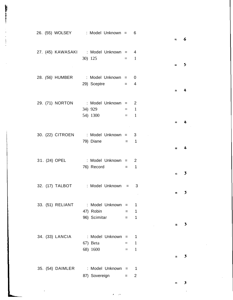| 26. (55) WOLSEY : Model Unknown = 6                                                        | $=$          | 6 |
|--------------------------------------------------------------------------------------------|--------------|---|
| 27. (45) KAWASAKI : Model Unknown = 4<br>$30)$ 125 = 1                                     | $=$ $\qquad$ | 5 |
| 28. (56) HUMBER : Model Unknown = 0<br>29) Sceptre $= 4$                                   | $=$          | 4 |
| 29. (71) NORTON : Model Unknown = 2<br>$34) 929 = 1$                                       |              |   |
| $\equiv$ 1<br>54) 1300<br>$\sim 1000$ km s $^{-1}$<br>30. (22) CITROEN : Model Unknown = 3 | $=$          |   |
| 79) Diane $= 1$                                                                            |              | 4 |
| 31. (24) OPEL : Model Unknown = 2<br>$76)$ Record = 1                                      | ≈            | 3 |
| 32. (17) TALBOT : Model Unknown =<br>3                                                     |              | 3 |
| 33. (51) RELIANT : Model Unknown = 1<br>$47)$ Robin $=$<br>1<br>$96)$ Scimitar = 1         |              | 3 |
| 34. (33) LANCIA : Model Unknown = 1<br>67) Beta<br>$=$ 1<br>68) 1600<br>$=$ 1              |              |   |
| 35. (54) DAIMLER : Model Unknown = 1<br>87) Sovereign =<br>2                               |              | 3 |
|                                                                                            |              | з |

 $\lambda$ ł

 $\sim$ 

 $\boldsymbol{\cdot}$ 

 $\hat{\mathcal{A}}$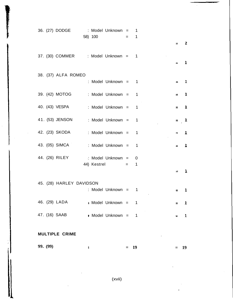| 36. (27) DODGE : Model Unknown = 1  |                     |  |                     |              |
|-------------------------------------|---------------------|--|---------------------|--------------|
|                                     | 58) 100<br>$= 1$    |  |                     |              |
|                                     |                     |  |                     | $= 2$        |
|                                     |                     |  |                     |              |
| 37. (30) COMMER : Model Unknown = 1 |                     |  |                     |              |
|                                     |                     |  |                     | $=$ 1        |
|                                     |                     |  |                     |              |
| 38. (37) ALFA ROMEO                 | : Model Unknown = 1 |  | $=$                 | ı            |
|                                     |                     |  |                     |              |
| 39. (42) MOTOG : Model Unknown = 1  |                     |  |                     | $=$ 1        |
|                                     |                     |  |                     |              |
| 40. (43) VESPA : Model Unknown = 1  |                     |  |                     | $=$ 1        |
|                                     |                     |  |                     |              |
| 41. (53) JENSON : Model Unknown = 1 |                     |  |                     | $= 1$        |
|                                     |                     |  |                     |              |
| 42. (23) SKODA : Model Unknown = 1  |                     |  |                     | $\pm$ 1      |
|                                     |                     |  |                     |              |
| 43. (05) SIMCA : Model Unknown = 1  |                     |  |                     | $=$ 1        |
|                                     |                     |  |                     |              |
| 44. (26) RILEY : Model Unknown = 0  |                     |  |                     |              |
|                                     | 44) Kestrel $=$ 1   |  |                     |              |
|                                     |                     |  | $\equiv$            | ı            |
|                                     |                     |  |                     |              |
| 45. (28) HARLEY DAVIDSON            |                     |  |                     |              |
|                                     | : Model Unknown = 1 |  |                     | 1            |
|                                     |                     |  |                     |              |
| 46. (29) LADA : Model Unknown = 1   |                     |  |                     | $\mathbf{I}$ |
| 47. (16) SAAB                       |                     |  |                     | $\mathbf{1}$ |
|                                     | • Model Unknown = 1 |  | $\equiv$ 1000 $\pm$ |              |
|                                     |                     |  |                     |              |
| <b>MULTIPLE CRIME</b>               |                     |  |                     |              |
|                                     |                     |  |                     |              |

 $\hat{\mathcal{L}}$ 

 $\mathcal{L}$ 

**99. (99) = 19 = 19**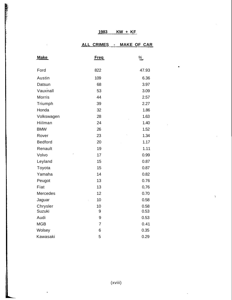# **ALL CRIMES - MAKE OF CAR**

 $\bullet$ 

ţ.

| <b>Make</b>    | <u>Freq</u>    | $\frac{\%}{\%}$ |
|----------------|----------------|-----------------|
| Ford           | 822            | 47.93           |
| Austin         | 109            | 6.36            |
| Datsun         | 68             | 3.97            |
| Vauxnall       | 53             | 3.09            |
| <b>Morris</b>  | 44             | 2.57            |
| Triumph        | 39             | 2.27            |
| Honda          | 32             | 1.86            |
| Volkswagen     | 28             | 1.63            |
| Hiilman        | 24             | 1.40            |
| <b>BMW</b>     | 26             | 1.52            |
| Rover          | 23             | 1.34            |
| <b>Bedford</b> | 20             | 1.17            |
| Renault        | 19             | 1.11            |
| Volvo          | 17             | 0.99            |
| Leyland        | 15             | 0.87            |
| Toyota         | 15             | 0.87            |
| Yamaha         | 14             | 0.82            |
| Peugot         | 13             | 0.76            |
| Fiat           | 13             | 0,76            |
| Mercedes       | 12             | 0.70            |
| Jaguar         | 10             | 0.58            |
| Chrysler       | 10             | 0.58            |
| Suzuki         | 9              | 0.53            |
| Audi           | 9              | 0.53            |
| <b>MGB</b>     | $\overline{7}$ | 0.41            |
| Wolsey         | 6              | 0.35            |
| Kawasaki       | 5              | 0.29            |

**REAL PROPERTY** 

 $\overline{a}$ 

 $\mathbf{r}$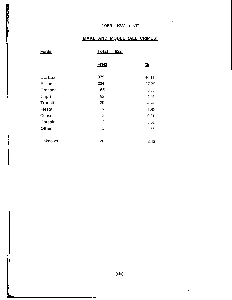# **MAKE AND MODEL (ALL CRIMES)**

 $\hat{r} = \hat{r}$  .

 $\mathbf{r}_{\mathrm{in}}$ 

 $\hat{\mathcal{A}}$ 

| <b>Fords</b> | $Total = 822$ |       |
|--------------|---------------|-------|
|              | <b>Fretz</b>  | %     |
| Cortina      | 379           | 46.11 |
| Escort       | 224           | 27.25 |
| Granada      | 66            | 8.03  |
| Capri        | 65            | 7.91  |
| Transit      | 39            | 4.74  |
| Fiesta       | 16            | 1.95  |
| Consul       | 5             | 0.61  |
| Corsair      | 5<br>$\sim$   | 0.61  |
| <b>Other</b> | 3             | 0.36  |
| Unknown      | 20            | 2.43  |

÷.

(xix)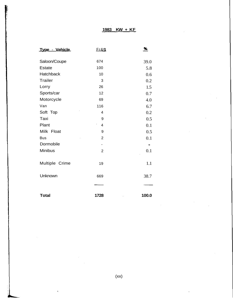| <b>Er&amp;g</b><br>Type - Vehicle |                                                     | %     |  |
|-----------------------------------|-----------------------------------------------------|-------|--|
| Saloon/Coupe                      | 674                                                 | 39.0  |  |
| <b>Estate</b>                     | 100                                                 | 5.8   |  |
| <b>Hatchback</b>                  | 10                                                  | 0.6   |  |
| <b>Trailer</b>                    | 3                                                   | 0.2   |  |
| Lorry                             | 26                                                  | 1.5   |  |
| Sports/car                        | 12                                                  | 0.7   |  |
| Motorcycle                        | 69                                                  | 4.0   |  |
| Van                               | 116                                                 | 6.7   |  |
| Soft Top                          | 4                                                   | 0.2   |  |
| Taxi                              | 9                                                   | 0.5   |  |
| Plant                             | $\overline{\phantom{a}}$<br>$\overline{\mathbf{4}}$ | 0.1   |  |
| Milk Float                        | 9                                                   | 0.5   |  |
| <b>Bus</b>                        | $\overline{2}$                                      | 0.1   |  |
| Dormobile                         | $\overline{\phantom{a}}$                            |       |  |
| <b>Minibus</b>                    | $\overline{2}$                                      | 0.1   |  |
| Multiple Crime                    | 19                                                  | 1.1   |  |
| Unknown                           | 669                                                 | 38.7  |  |
|                                   |                                                     |       |  |
| <b>Total</b>                      | 1728                                                | 100.0 |  |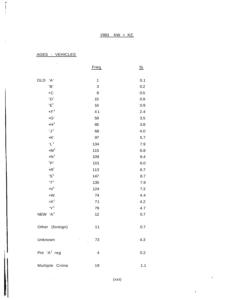$\bar{z}$ 

AGES - VEHICLES

 $\cdot$ 

 $\mathcal{L}_{\text{in}}$  and  $\mathcal{L}_{\text{in}}$ 

 $\bar{z}$ 

Ť

 $\cdot$ 

|                                                      | <b>Freq</b>             | $\frac{\%}{\sqrt{2}}$ |
|------------------------------------------------------|-------------------------|-----------------------|
| <b>OLD</b><br>'A'                                    | $\mathbf 1$             | 0.1                   |
| 'B'                                                  | 3                       | 0.2                   |
| $\bullet$ C                                          | 8                       | 0.5                   |
| "D"                                                  | 15                      | 0.9                   |
| 'E <sup>f</sup>                                      | 16                      | 0.9                   |
| $\bullet$ F <sup>1</sup>                             | 41                      | 2.4                   |
| $\bullet G'$                                         | 59                      | 3.5                   |
| $\bullet H^1$                                        | 65                      | 3.8                   |
| 'J <sup>1</sup>                                      | 68                      | 4.0                   |
| $\bullet\mathsf{K}^{\scriptscriptstyle{\mathsf{I}}}$ | 97                      | 5.7                   |
| 'L <sup>1</sup>                                      | 134                     | 7.9                   |
| $\bullet M^1$                                        | 115                     | 6.8                   |
| $\bullet N^1$                                        | 109                     | 6.4                   |
| ${}^{\text{f}}P$                                     | 101                     | 6.0                   |
| $\cdot R$                                            | 113                     | 6.7                   |
| $^{\prime}S^1$                                       | 147                     | 8.7                   |
| $T^1$                                                | 135                     | 7.9                   |
| $\bullet V^1$                                        | 124                     | 7.3                   |
| $\bullet \textsf{W}$                                 | 74                      | 4.4                   |
| $\bullet X^1$                                        | 71                      | 4.2                   |
| $'Y^1$                                               | 79                      | 4.7                   |
| NEW 'A <sup>1</sup>                                  | 12                      | 0.7                   |
| Other<br>(foreign)                                   | 11                      | 0.7                   |
| Unknown                                              | 73                      | 4.3                   |
| Pre ' $A^1$ reg                                      | $\overline{\mathbf{4}}$ | 0.2                   |
| Multiple Crime                                       | 19                      | 1.1                   |

(xxi)

 $\mathbf{r}$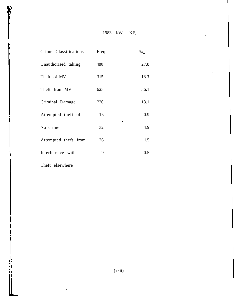| Crime Classifications | Freq |      |
|-----------------------|------|------|
| Unauthorised taking   | 480  | 27.8 |
| Theft of MV           | 315  | 18.3 |
| Theft from MV         | 623  | 36.1 |
| Criminal Damage       | 226  | 13.1 |
| Attempted theft of    | 15   | 0.9  |
| No crime              | 32   | 1.9  |
| Attempted theft from  | 26   | 1.5  |
| Interference with     | 9    | 0.5  |
| Theft elsewhere       |      |      |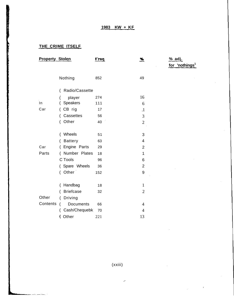# **THE CRIME ITSELF**

للسام السبب الماليات ب

| <b>Property Stolen</b> |                    | Freq | <u>%</u>                 | <u>% adj.</u>              |
|------------------------|--------------------|------|--------------------------|----------------------------|
|                        |                    |      |                          | for 'nothings <sup>1</sup> |
|                        | Nothing            | 852  | 49                       |                            |
|                        | Radio/Cassette     |      |                          |                            |
|                        | player             | 274  | 16                       |                            |
| In                     | Speakers           | 111  | 6                        |                            |
| Car                    | CB rig<br>$\left($ | 17   | $\cdot$                  |                            |
|                        | Cassettes          | 56   | 3                        |                            |
|                        | Other<br>$\left($  | 40   | $\overline{2}$           |                            |
|                        |                    |      |                          |                            |
|                        | Wheels<br>(        | 51   | 3                        |                            |
|                        | <b>Battery</b>     | 63   | $\overline{\mathcal{A}}$ |                            |
| Car                    | Engine Parts<br>(  | 29   | $\overline{2}$           |                            |
| Parts                  | ( Number Plates    | 18   | 1                        |                            |
|                        | C Tools            | 96   | 6                        |                            |
|                        | (Spare Wheels      | 36   | $\overline{2}$           |                            |
|                        | (Other             | 152  | 9                        |                            |
|                        |                    |      |                          |                            |
|                        | Handbag<br>(       | 18   | $\mathbf{1}$             |                            |
|                        | <b>Briefcase</b>   | 32   | $\overline{2}$           |                            |
| Other                  | Driving<br>(       |      |                          |                            |
| Contents               | Documents          | 66   | $\overline{4}$           |                            |
|                        | Cash/Chequebk      | 70   | $\overline{4}$           |                            |
|                        | (Other             | 221  | 13                       |                            |
|                        |                    |      |                          |                            |

(xxiii)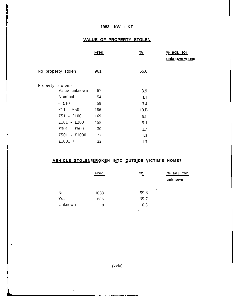## **VALUE OF PROPERTY STOLEN**

|                   |                    | <u>Freq</u> | $\frac{9}{6}$ | % adj. for    |
|-------------------|--------------------|-------------|---------------|---------------|
|                   |                    |             |               | unknown +none |
|                   | No property stolen | 961         | 55.6          |               |
| Property stolen:- |                    |             |               |               |
|                   | Value unknown      | 67          | 3.9           |               |
|                   | Nominal            | 54          | 3.1           |               |
|                   | $-£10$             | 59          | 3.4           |               |
|                   | £11 - £50          | 186         | 10.B          |               |
|                   | £51 - £100         | 169         | 9.8           |               |
|                   | £101 - £300        | 158         | 9.1           |               |
|                   | £301 - £500        | 30          | 1.7           |               |
|                   | £501 - £1000       | 22          | 1.3           |               |
|                   | £1001 +            | 22          | 1.3           |               |

## **VEHICLE STOLEN/BROKEN INTO OUTSIDE VICTIM'S HOME?**

 $\mathcal{L}_{\mathrm{c}}$ 

 $\Gamma$ 

|         | Freq | ^fc       | % adj. for<br>unknown |
|---------|------|-----------|-----------------------|
| No      | 1033 | ٠<br>59.8 |                       |
| Yes     | 686  | 39.7      |                       |
| Unknown | 8    | 0.5       |                       |

(xxiv)

<u>na matana ang kabangan sa mga sa</u>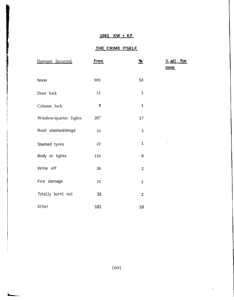# **THE CRIME ITSELF**

| Damage Incurred       | <b>Freq</b>       | <u>%</u>       | <u>&amp; adj. for</u><br>none |
|-----------------------|-------------------|----------------|-------------------------------|
| None                  | 909               | 53             |                               |
| Door lock             | 12                | $\mathbf 1$    |                               |
| Column lock           | 9                 | $\mathbf 1$    |                               |
| Window/quarter lights | 287<br>$\epsilon$ | 17             |                               |
| Roof slashed/dmgd     | 10                | $\mathbf 1$    |                               |
| Slashed tyres         | 22                | $1\,$          |                               |
| Body or lights        | 133               | 8              |                               |
| Write off             | 38                | $\overline{2}$ |                               |
| Fire damage           | 10                | Ĩ              |                               |
| Totally burnt out     | 33                | $\mathbf{Z}$   |                               |
| Other                 | 181               | 10             |                               |

l,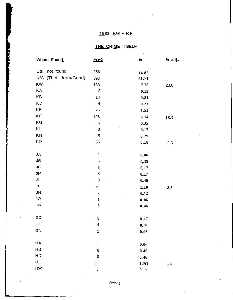# **THE CRIME ITSELF**

| Where Found            | <b>Freg</b>               | $\frac{96}{2}$      | % adj. |
|------------------------|---------------------------|---------------------|--------|
| Still not found        | 256                       | 14.82               |        |
| N/A (Theft from/Crind) | 893                       | 51.71               |        |
| <b>KW</b>              | 133                       | 7.70                | 23.0   |
| KA                     | 2.                        | 0.12                |        |
| KB                     | 14                        | 0.81                |        |
| <b>KD</b>              | $\overline{\mathcal{A}}$  | 0.23                |        |
| KE                     | 26                        | 1.51                |        |
| KF                     | 106                       | 6.14                | 18.3   |
| KG                     | 6<br>ć,                   | 0.35                |        |
| KL                     | $\ensuremath{\mathsf{3}}$ | 0.17                |        |
| KN                     | 5                         | 0.29                |        |
| KO                     | 55                        | 3.18                | 9.5    |
|                        |                           |                     |        |
| JA                     | $\mathbf 1$               | 0,06                |        |
| $J\!B$                 | $\,6$                     | 0, 35               |        |
| 3C                     | $\ensuremath{\mathsf{3}}$ | 0,17                |        |
| 3H                     | $\mathsf 3$               | 0,17                |        |
| JI                     | 8                         | 0,46                |        |
| JL                     | 19                        | 1,10                | 3.3    |
| $JN^{\circ}$           | $\overline{2}$            | 0,12                |        |
| JO                     | $\mathbf{1}$              | 0.06                |        |
| JW                     | 8                         | 0.46                |        |
|                        |                           |                     |        |
| $\mathsf{GD}$          | $\ensuremath{\mathsf{3}}$ | 0.,17               |        |
| GH                     | 14                        | 0.81                |        |
| GN                     | $\mathbf{1}$              | 0.06                |        |
|                        |                           |                     |        |
| HA                     | $\mathbf 1$               | $\boldsymbol{0.06}$ |        |
| HB                     | 8                         | 0.46                |        |
| HD                     | 8                         | 0.46                |        |
| HH                     | 31                        | 1.BO                | 5.4    |
| ${\sf HW}$             | 3                         | 0.17                |        |

(xxvi)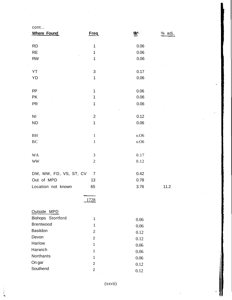| cont                   |                |               |          |
|------------------------|----------------|---------------|----------|
| <b>Where Found</b>     | Freq           | <b>9é√</b>    | $%$ adj. |
|                        |                |               |          |
| <b>RD</b>              | 1              | 0.06          |          |
| <b>RE</b>              | 1              | 0.06          |          |
| <b>RW</b>              | 1              | 0.06          |          |
|                        |                |               |          |
| YT                     | $\sqrt{3}$     | 0.17          |          |
| YD                     | 1              | 0.06          |          |
|                        |                |               |          |
| PP                     | $\mathbf 1$    | 0.06          |          |
| <b>PK</b>              | 1              | 0.06          |          |
| <b>PR</b>              | $\mathbf 1$    | 0.06          |          |
|                        |                |               |          |
| N <sub>1</sub>         | $\overline{2}$ | 0.12          |          |
| <b>ND</b>              | $\mathbf 1$    | 0.06          |          |
|                        |                |               |          |
| BH                     | $\mathbf{1}$   | 0.06          |          |
| BC                     | $\mathbf{1}$   | 0.06          |          |
|                        |                | $\sim$ $\sim$ |          |
| <b>WA</b>              | $\mathfrak{Z}$ | 0.17          |          |
| <b>WW</b>              | $\sqrt{2}$     | 0.12          |          |
|                        |                |               |          |
| DM, MM, FD, VS, ST, CV | $\overline{7}$ | 0.42          |          |
| Out of MPD             | 13             | 0.78          |          |
| Location not known     | 65             | 3.76          | 11.2     |
|                        |                |               |          |
|                        | 1728           |               |          |
|                        |                |               |          |
| Outside MPD            |                |               |          |
| Bishops Stortford      | 1              | 0.06          |          |
| Brentwood              | 1              | 0.06          |          |
| Basildon               | $\overline{2}$ | 0.12          |          |
| Devon                  | $\overline{2}$ | 0.12          |          |
| Harlow                 | $\mathbf{1}$   | 0.06          |          |
| Harwich                | $\mathbf{1}$   | 0.06          |          |
| Northants              | 1              | 0.06          |          |
| On gar                 | $\overline{2}$ | 0.12          |          |
| Southend               | $\overline{2}$ | 0.12          |          |

(xxvii)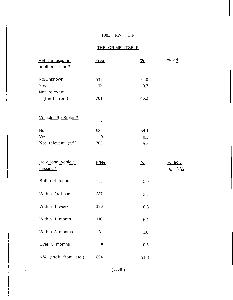# $1983$  KW  $+$  KF

# THE CRIME ITSELE

| Vehicle used in       | Freq.       | %              | <u>% adj.</u> |
|-----------------------|-------------|----------------|---------------|
| another crime?        |             |                |               |
| No/Unknown            | 931         | 54.0           |               |
| Yes                   | 12          | 0.7            |               |
| Not relevant          |             |                |               |
| (theft from)          | 781         | 45.3           |               |
|                       |             |                |               |
|                       |             |                |               |
| Vehicle Re-Stolen?    |             |                |               |
| <b>No</b>             | 932         | 54.1           |               |
| Yes                   | 9           | 0.5            |               |
| Not relevant (t.f.)   | 783         | 45.5           |               |
|                       |             |                |               |
|                       |             |                |               |
|                       |             |                |               |
| How long vehicle      | <b>Free</b> | $\frac{96}{2}$ | <u>% adj.</u> |
| missing?              |             |                | for N/A       |
| Still not found       | 258         | 15.0           |               |
|                       |             |                |               |
| Within 24 hours       | 237         | 13.7           |               |
|                       | $\sim 10$   |                |               |
| Within 1 week         | 186         | 10.8           |               |
| Within 1 month        | 110         |                |               |
|                       |             | 6.4            |               |
| Within 3 months       | 31          | 1.8            |               |
|                       |             |                |               |
| Over 3 months         | 9           | 0.5            |               |
| N/A (theft from etc.) | 894         | 51.8           |               |

(xxviii)

 $\sim$   $\downarrow$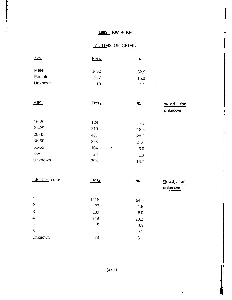# **1983 KW + KF**

# VICTIMS OF CRIME

t,

| Sex     | <b>Frein</b> | <u>%</u> |
|---------|--------------|----------|
| Male    | 1432         | 82.9     |
| Female  | 277          | 16.0     |
| Unknown | 19           | 11       |

 $\hat{\boldsymbol{\beta}}$ 

 $\hat{\mathcal{L}}$ 

 $\hat{\mathcal{A}}$ 

| <b>Age</b>         | <b>Freta</b> |   | $\frac{96}{2}$ | $%$ adj. for<br>unknown |
|--------------------|--------------|---|----------------|-------------------------|
| $16 - 20$<br>×.    | 129          |   | 7.5            |                         |
| $21 - 25$          | 319          |   | 18.5           |                         |
| 26-35              | 487          |   | 28.2           |                         |
| $36 - 50$          | 373          |   | 21.6           |                         |
| $51-65$            | 104          | ١ | 6.0            |                         |
| $66+$              | 23           |   | 1.3            |                         |
| Unknown<br>$\cdot$ | 293          |   | 16.7           |                         |
|                    |              |   |                |                         |

| Identity code  | Free <sub>q</sub> | <u>%</u> | $\frac{9}{6}$ adj. for<br>unknown |
|----------------|-------------------|----------|-----------------------------------|
| 1              | 1115              | 64.5     |                                   |
| $\overline{2}$ | 27                | .1.6     | ٠                                 |
| 3              | 139               | 8.0      |                                   |
| $\overline{4}$ | 349               | 20.2     |                                   |
| 5              | 9                 | 0.5      |                                   |
| 6              | 1                 | 0.1      |                                   |
| Unknown        | 88                | 5.1      |                                   |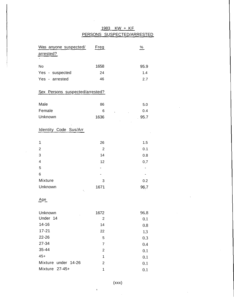# 1983 KW + KF PERSONS SUSPECTED/ARRESTED

 $\sim$ 

 $\mathcal{L}$ 

 $\bar{z}$ 

 $\sim$ 

| Was anyone suspected/           | <u>Freg</u>    | $\frac{\%}{\sqrt{2}}$ |
|---------------------------------|----------------|-----------------------|
| arrested?                       |                |                       |
|                                 |                |                       |
| No                              | 1658           | 95.9                  |
| Yes - suspected                 | 24             | 1.4                   |
| Yes - arrested                  | 46             | 2.7                   |
|                                 |                |                       |
| Sex Persons suspected/arrested? |                |                       |
|                                 |                |                       |
| Male                            | 86             | 5.0                   |
| Female                          | 6              | 0.4                   |
| Unknown                         | 1636           | 95.7                  |
|                                 |                |                       |
| Identity Code Sus/Arr           |                |                       |
|                                 |                |                       |
| 1                               | 26             | 1.5                   |
| $\overline{2}$                  | $\overline{2}$ | 0.1                   |
| 3                               | 14             | 0.8                   |
| $\overline{\mathbf{4}}$         | 12             | 0,7                   |
| 5                               |                |                       |
| 6                               |                |                       |
| Mixture                         | 3              | 0.2                   |
| Unknown                         | 1671           | 96.7                  |
|                                 |                |                       |
| <u>Age</u>                      |                |                       |
|                                 |                |                       |
| Unknown                         | 1672           | 96.8                  |
| Under 14                        | $\overline{2}$ | 0.1                   |
| $14 - 16$                       | 14             | 0.8                   |
| $17 - 21$                       | 22             | 1.3                   |
| 22-26                           | 5              | 0.3                   |
| 27-34                           | $\overline{7}$ | 0.4                   |
| 35-44                           | $\overline{2}$ | 0.1                   |
| $45+$                           | $\mathbf{1}$   | 0.1                   |
| Mixture<br>under 14-26          | $\overline{2}$ | 0.1                   |
| Mixture 27-45+                  | 1              | 0.1                   |

 $\mathcal{L}_{\mathcal{A}}$ 

(xxx)

 $\sim$   $\sim$ 

 $\ddot{\bullet}$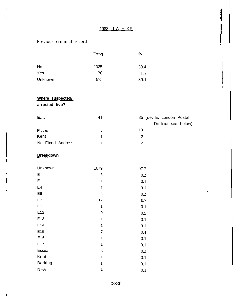# 1983 KW + KF

# Previous criminal record

|           | $F$ re $\lhd$ | $\frac{96}{2}$ |
|-----------|---------------|----------------|
| <b>No</b> | 1025          | 59.4           |
| Yes       | 26            | 1.5            |
| Unknown   | 675           | 39.1           |

# **Where suspected/**

**arrested live?**

| E                | 41 | 85 (i.e. E. London Postal |
|------------------|----|---------------------------|
|                  |    | District see below)       |
| <b>Essex</b>     |    | 10                        |
| Kent             |    |                           |
| No Fixed Address |    |                           |

## **Breakdown**

ż

| Unknown        | 1679           | 97.2 |
|----------------|----------------|------|
| E              | 3              | 0.2  |
| E I            | 1              | 0.1  |
| E4             | 1              | 0.1  |
| E <sub>6</sub> | 3              | 0.2  |
| E7             | 12             | 0.7  |
| EII            | 1              | 0.1  |
| E12            | 9              | 0.5  |
| E13            | 1              | 0.1  |
| E14            | 1              | 0.1  |
| E15            | $\overline{7}$ | 0.4  |
| E16            | 1              | 0.1  |
| E17            | 1              | 0.1  |
| <b>Essex</b>   | 5              | 0.3  |
| Kent           | 1              | 0.1  |
| <b>Barking</b> | 1              | 0.1  |
| <b>NFA</b>     | 1              | 0.1  |

(xxxi)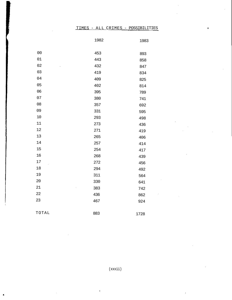## TIMES - ALL CRIMES - POSSIBILITIES

 $\overline{\phantom{a}}$ 

 $\lambda$ 

÷.

|        | 1982 | 1983 |
|--------|------|------|
|        |      |      |
| 00     | 453  | 893  |
| $01\,$ | 443  | 858  |
| 02     | 432  | 847  |
| 03     | 419  | 834  |
| 04     | 409  | 825  |
| 05     | 402  | 814  |
| 06     | 395  | 789  |
| 07     | 380  | 741  |
| 08     | 357  | 692  |
| 09     | 331  | 595  |
| 10     | 293  | 498  |
| 11     | 273  | 436  |
| 12     | 271  | 419  |
| 13     | 265  | 406  |
| 14     | 257  | 414  |
| 15     | 254  | 417  |
| 16     | 268  | 439  |
| $17\,$ | 272  | 456  |
| 18     | 294  | 492  |
| 19     | 311  | 564  |
| 20     | 330  | 641  |
| 21     | 383  | 742  |
| 22     | 436  | 862  |
| 23     | 467  | 924  |
| TOTAL  | 883  | 1728 |
|        |      |      |

 $\bar{z}$ 

×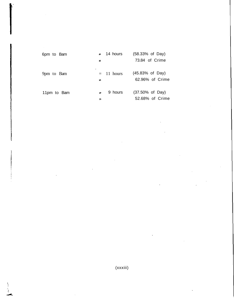| 6pm to Bam      | $\mathbb{R}$ and $\mathbb{R}$<br>⋍ | 14 hours     | $(58.33% \text{ of Day})$<br>73.84 of Crime   |
|-----------------|------------------------------------|--------------|-----------------------------------------------|
| ٠<br>9pm to Bam | ÷                                  | $=$ 11 hours | $(45.83\% \text{ of Day})$<br>62.96% of Crime |
| 11pm to Bam     | $\Rightarrow$<br>≖                 | 9 hours      | $(37.50\% \text{ of Day})$<br>52.68% of Crime |

(xxxiii)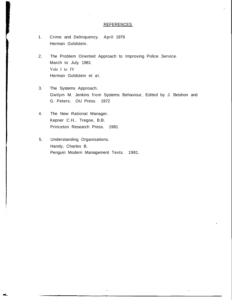### REFERENCES

- 1. Crime and Delinquency. April 1979 Herman Goldstein.
- 2. The Problem Oriented Approach to Improving Police Service. March to July 1981 Vols I to IV Herman Goldstein et al.
- 3. The Systems Approach. Gwilym M. Jenkins from Systems Behaviour, Edited by J. Beishon and G. Peters. OU Press. 1972
- 4. The New Rational Manager. Kepner C.H., Tregoe, B.B. Princeton Research Press. 1981
- 5. Understanding Organisations. Handy, Charles B. Penguin Modern Management Texts. 1981.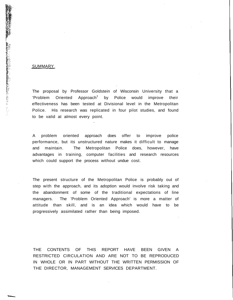#### SUMMARY

2008年の「大学の大学の学校」という。 こうしゃ こうしょう こうしょう こうしょう こうしょう こうしょう こうしょう こうしょう こうしょう こうかん こうしゃ こうしゃ こうしゃ こうしゃ こうしゃ こうしゃ こうしょう こうしょう こうしょう こうしょう

The proposal by Professor Goldstein of Wisconsin University that a 'Problem Oriented Approach<sup>1</sup> by Police would improve their effectiveness has been tested at Divisional level in the Metropolitan Police. His research was replicated in four pilot studies, and found to be valid at almost every point.

A problem oriented approach does offer to improve police performance, but its unstructured nature makes it difficult to manage and maintain. The Metropolitan Police does, however, have advantages in training, computer facilities and research resources which could support the process without undue cost.

The present structure of the Metropolitan Police is probably out of step with the approach, and its adoption would involve risk taking and the abandonment of some of the traditional expectations of line managers. The 'Problem Oriented Approach' is more a matter of attitude than skill, and is an idea which would have to be progressively assimilated rather than being imposed.

THE CONTENTS OF THIS REPORT HAVE BEEN GIVEN A RESTRICTED CIRCULATION AND ARE NOT TO BE REPRODUCED IN WHOLE OR IN PART WITHOUT THE WRITTEN PERMISSION OF THE DIRECTOR, MANAGEMENT SERVICES DEPARTMENT.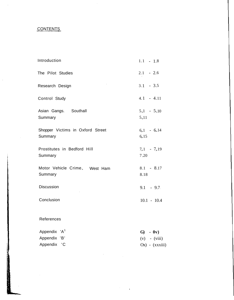# **CONTENTS**

| Introduction                                            | $1.1 - 1.8$                                        |
|---------------------------------------------------------|----------------------------------------------------|
| The Pilot Studies                                       | $2.1 - 2.6$                                        |
| Research Design                                         | $3.1 - 3.5$                                        |
| Control Study                                           | $4.1 - 4.11$                                       |
| Asian Gangs. Southall<br>Summary                        | $5.,1 - 5.10$<br>5,11                              |
| Shopper Victims in Oxford Street<br>Summary             | $6.1 - 6.14$<br>6, 15                              |
| Prostitutes in Bedford Hill<br>Summary                  | $7,1$ - $7,19$<br>7.20                             |
| Motor Vehicle Crime. West Ham<br>Summary                | $8.1 - 8.17$<br>8.18                               |
| Discussion                                              | $9.1 - 9.7$                                        |
| Conclusion                                              | $10.1 - 10.4$                                      |
| References                                              |                                                    |
| Appendix 'A <sup>1</sup><br>Appendix 'B'<br>Appendix 'C | $G) - 0v$<br>$(v) - (viii)$<br>$Ox$ ) - $(xxxiii)$ |

 $\overline{\phantom{a}}$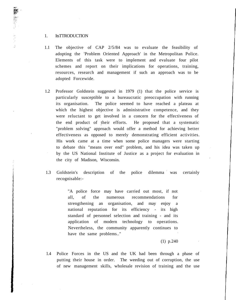### 1. ItsTTRODUCTION

- 1.1 The objective of CAP 2/5/84 was to evaluate the feasibility of adopting the 'Problem Oriented Approach' in the Metropolitan Police. Elements of this task were to implement and evaluate four pilot schemes and report on their implications for operations, training, resources, research and management if such an approach was to be adopted Forcewide.
- 1.2 Professor Goldstein suggested in 1979 (1) that the police service is particularly susceptible to a bureaucratic preoccupation with running its organisation. The police seemed to have reached a plateau at which the highest objective is administrative competence, and they were reluctant to get involved in a concern for the effectiveness of the end product of their efforts. He proposed that a systematic "problem solving" approach would offer a method for achieving better effectiveness as opposed to merely demonstrating efficient activities. His work came at a time when some police managers were starting to debate this "means over end" problem, and his idea was taken up by the US National Institute of Justice as a project for evaluation in the city of Madison, Wisconsin.
- 1.3 Goldstein's description of the police dilemma was certainly recognisable:-

"A police force may have carried out most, if not all, of the numerous recommendations for strengthening an organisation, and may enjoy a national reputation for its efficiency - its high standard of personnel selection and training - and its application of modern technology to operations. Nevertheless, the community apparently continues to have the same problems.."

## (1) p.240

1.4 Police Forces in the US and the UK had been through a phase of putting their house in order. The weeding out of corruption, the use of new management skills, wholesale revision of training and the use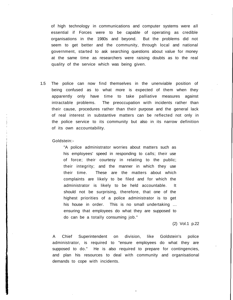of high technology in communications and computer systems were all essential if Forces were to be capable of operating as credible organisations in the 1980s and beyond. But the problems did not seem to get better and the community, through local and national government, started to ask searching questions about value for money at the same time as researchers were raising doubts as to the real quality of the service which was being given.

1.5 The police can now find themselves in the unenviable position of being confused as to what more is expected of them when they apparently only have time to take palliative measures against intractable problems. The preoccupation with incidents rather than their cause, procedures rather than their purpose and the general lack of real interest in substantive matters can be reflected not only in the police service to its community but also in its narrow definition of its own accountability.

#### Goldstein:-

"A police administrator worries about matters such as his employees' speed in responding to calls; their use of force; their courtesy in relating to the public; their integrity; and the manner in which they use their time. These are the matters about which complaints are likely to be filed and for which the administrator is likely to be held accountable. It should not be surprising, therefore, that one of the highest priorities of a police administrator is to get his house in order. This is no small undertaking ... ensuring that employees do what they are supposed to do can be a totally consuming job."

### (2) Vol.1 p.22

A Chief Superintendent on division, like Goldstein's police administrator, is required to "ensure employees do what they are supposed to do." He is also required to prepare for contingencies, and plan his resources to deal with community and organisational demands to cope with incidents.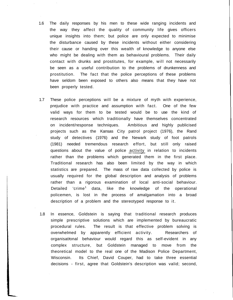- 1.6 The daily responses by his men to these wide ranging incidents and the way they affect the quality of community life gives officers unique insights into them; but police are only expected to minimise the disturbance caused by these incidents without either considering their cause or handing over this wealth of knowledge to anyone else who might be dealing with them as behavioural problems. Their daily contact with drunks and prostitutes, for example, will not necessarily be seen as a useful contribution to the problems of drunkenness and prostitution. The fact that the police perceptions of these problems have seldom been exposed to others also means that they have not been properly tested.
- 1.7 These police perceptions will be a mixture of myth with experience, prejudice with practice and assumption with fact. One of the few valid ways for them to be tested would be to use the kind of research resources which traditionally have themselves concentrated on incident/response techniques. Ambitious and highly publicised projects such as the Kansas City patrol project (1976), the Rand study of detectives (1976) and the Newark study of foot patrols (1981) needed tremendous research effort, but still only raised questions about the value of police activity in relation to incidents rather than the problems which generated them in the first place. Traditional research has also been limited by the way in which statistics are prepared. The mass of raw data collected by police is usually required for the global description and analysis of problems rather than a rigorous examination of local anti-social behaviour. Detailed 'crime<sup>1</sup> data, like the knowledge of the operational policemen, is lost in the process of amalgamation into a broad description of a problem and the stereotyped response to it.
- 1.8 In essence, Goldstein is saying that traditional research produces simple prescriptive solutions which are implemented by bureaucratic procedural rules. The result is that effective problem solving is overwhelmed by apparently efficient activity. Researchers of organisational behaviour would regard this as self-evident in any complex structure, but Goldstein managed to move from the theoretical model to the real one of the Madison Police Department, Wisconsin. Its Chief, David Couper, had to take three essential decisions - first, agree that Goldstein's description was valid; second,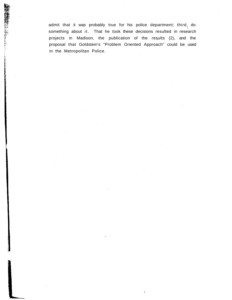admit that it was probably true for his police department; third, do something about it. That he took these decisions resulted in research projects in Madison, the publication of the results (2), and the proposal that Goldstein's "Problem Oriented Approach" could be used in the Metropolitan Police.

「大学の学校の学校の学校の研究」ということがある。 こうしょう こうしょう こうかん こうしょう こうしょう こうしょう こうしょう こうしょう こうしょう こうしゃ こうしゃ こうしゃ こうしゃ こうしゃ こうしゃ こうしゃ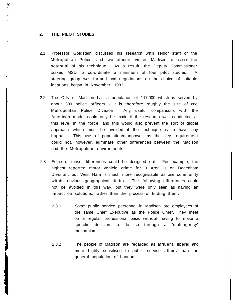### **2. THE PILOT STUDIES**

- 2.1 Professor Goldstein discussed his research with senior staff of the Metropolitan Police, and two officers visited Madison to assess the potential of his technique. As a result, the Deputy Commissioner tasked MSD to co-ordinate a minimum of four pilot studies. A steering group was formed and negotiations on the choice of suitable locations began in November, 1983.
- 2.2 The City of Madison has a population of 117,000 which is served by about 300 police officers - it is therefore roughly the size of one Metropolitan Police Division. Any useful comparisons with the American model could only be made if the research was conducted at this level in the force, and this would also prevent the sort of global approach which must be avoided if the technique is to have any impact. This use of population/manpower as the key requirement could not, however, eliminate other differences between the Madison and the Metropolitan environments.
- 2.3 Some of these differences could be designed out. For example, the highest reported motor vehicle crime for 3 Area is on Dagenham Division, but West Ham is much more recognisable as one community within obvious geographical limits. The following differences could not be avoided in this way, but they were only seen as having an impact on solutions, rather than the process of finding them.
	- 2.3.1 Some public service personnel in Madison are employees of the same Chief Executive as the Police Chief. They meet on a regular professional basis without having to make a specific decision to do so through a "multiagency" mechanism.
	- 2.3.2 The people of Madison are regarded as affluent, liberal and more highly sensitised to public service affairs than the general population of London.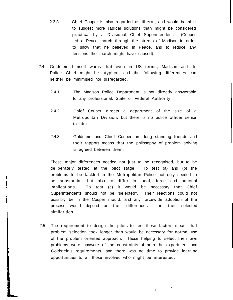- 2.3.3 Chief Couper is also regarded as liberal, and would be able to suggest more radical solutions than might be considered practical by a Divisional Chief Superintendent. (Couper led a Peace march through the streets of Madison in order to show that he believed in Peace, and to reduce any tensions the march might have caused).
- 2.4 Goldstein himself warns that even in US terms, Madison and its Police Chief might be atypical, and the following differences can neither be minimised nor disregarded.
	- 2.4.1 The Madison Police Department is not directly answerable to any professional, State or Federal Authority.
	- 2.4.2 Chief Couper directs a department of the size of a Metropolitan Division, but there is no police officer senior to him.
	- 2.4.3 Goldstein and Chief Couper are long standing friends and their rapport means that the philosophy of problem solving is agreed between them.

These major differences needed not just to be recognised, but to be deliberately tested at the pilot stage. To test (a) and (b) the problems to be tackled in the Metropolitan Police not only needed to be substantial, but also to differ in local, force and national implications. To test (c) it would be necessary that Chief Superintendents should not be 'selected<sup>1</sup>. Their reactions could not possibly be in the Couper mould, and any forcewide adoption of the process would depend on their differences - not their selected similarities.

2.5 The requirement to design the pilots to test these factors meant that problem selection took longer than would be necessary for normal use of the problem oriented approach. Those helping to select their own problems were unaware of the constraints of both the experiment and Goldstein's requirements, and there was no time to provide learning opportunities to all those involved who might be interested.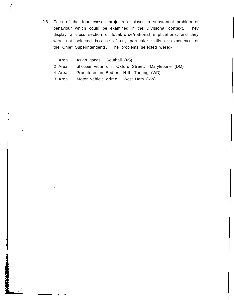- 2.6 Each of the four chosen projects displayed a substantial problem of behaviour which could be examined in the Divisional context. They display a cross section of local/force/national implications, and they were not selected because of any particular skills or experience of the Chief Superintendents. The problems selected were:-
	- 1 Area Asian gangs. Southall (XS)

탉

- 2 Area Shopper victims in Oxford Street. Marylebone (DM)
- 4 Area Prostitutes in Bedford Hill. Tooting (WD)
- 3 Area Motor vehicle crime. West Ham (KW)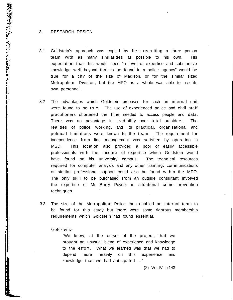#### 3. RESEARCH DESIGN

2000年の日本の日本の「1900年の1900年の1900年の1900年の1900年によって、1900年の1900年には、1900年には1900年には1900年によっていたに、1900年には1900年には1900年には1900年には1900年によって、1900年には1900年には1900年には1900年には1900年によって、1900年には1900年には1900年によって、1900年には1900年には1900年には1900年には190

- 3.1 Goldstein's approach was copied by first recruiting a three person team with as many similarities as possible to his own. His expectation that this would need "a level of expertise and substantive knowledge well beyond that to be found in a police agency" would be true for a city of the size of Madison, or for the similar sized Metropolitan Division, but the MPO as a whole was able to use its own personnel.
- 3.2 The advantages which Goldstein proposed for such an internal unit were found to be true. The use of experienced police and civil staff practitioners shortened the time needed to access people and data. There was an advantage in credibility over total outsiders. The realities of police working, and its practical, organisational and political limitations were known to the team. The requirement for independence from line management was satisfied by operating in MSD. This location also provided a pool of easily accessible professionals with the mixture of expertise which Goldstein would have found on his university campus. The technical resources required for computer analysis and any other training, cornmunications or similar professional support could also be found within the MPO. The only skill to be purchased from an outside consultant involved the expertise of Mr Barry Poyner in situational crime prevention techniques.
- 3.3 The size of the Metropolitan Police thus enabled an internal team to be found for this study but there were some rigorous membership requirements which Goldstein had found essential.

Goldstein:-

"We knew, at the outset of the project, that we brought an unusual blend of experience and knowledge to the effort. What we learned was that we had to depend more heavily on this experience and knowledge than we had anticipated ..."

(2) Vol.IV p.143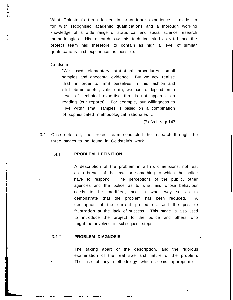What Goldstein's team lacked in practitioner experience it made up for with recognised academic qualifications and a thorough working knowledge of a wide range of statistical and social science research methodologies. His research saw this technical skill as vital, and the project team had therefore to contain as high a level of similar qualifications and experience as possible.

Goldstein:-

Ť.

"We used elementary statistical procedures, small samples and anecdotal evidence. But we now realise that, in order to limit ourselves in this fashion and still obtain useful, valid data, we had to depend on a level of technical expertise that is not apparent on reading (our reports). For example, our willingness to 'live with $^1$  small samples is based on a combination of sophisticated methodological rationales ..."

(2) Vol.IV p.143

3.4 Once selected, the project team conducted the research through the three stages to be found in Goldstein's work.

### 3.4.1 **PROBLEM DEFINITION**

A description of the problem in all its dimensions, not just as a breach of the law, or something to which the police have to respond. The perceptions of the public, other agencies and the police as to what and whose behaviour needs to be modified, and in what way so as to demonstrate that the problem has been reduced. A description of the current procedures, and the possible frustration at the lack of success. This stage is also used to introduce the project to the police and others who might be involved in subsequent steps.

## 3.4.2 **PROBLEM DIAGNOSIS**

The taking apart of the description, and the rigorous examination of the real size and nature of the problem. The use of any methodology which seems appropriate -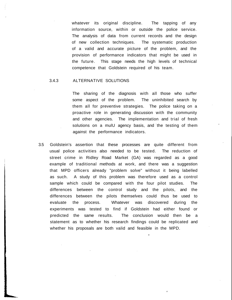whatever its original discipline. The tapping of any information source, within or outside the police service. The analysis of data from current records and the design of new collection techniques. The systematic production of a valid and accurate picture of the problem, and the provision of performance indicators that might be used in the future. This stage needs the high levels of technical competence that Goldstein required of his team.

#### 3.4.3 ALTERNATIVE SOLUTIONS

The sharing of the diagnosis with all those who suffer some aspect of the problem. The uninhibited search by them all for preventive strategies. The police taking on a proactive role in generating discussion with the community and other agencies. The implementation and trial of fresh solutions on a mulU agency basis, and the testing of them against the performance indicators.

3.5 Goldstein's assertion that these processes are quite different from usual police activities also needed to be tested. The reduction of street crime in Ridley Road Market (GA) was regarded as a good example of traditional methods at work, and there was a suggestion that MPD officers already "problem solve" without it being labelled as such. A study of this problem was therefore used as a control sample which could be compared with the four pilot studies. The differences between the control study and the pilots, and the differences between the pilots themselves could thus be used to evaluate the process. Whatever was discovered during the experiments was tested to find if Goldstein had either found or predicted the same results. The conclusion would then be a statement as to whether his research findings could be replicated and whether his proposals are both valid and feasible in the MPD.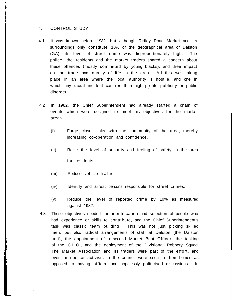#### 4. CONTROL STUDY

- 4.1 It was known before 1982 that although Ridley Road Market and its surroundings only constitute 10% of the geographical area of Dalston (GA), its level of street crime was disproportionately high. The police, the residents and the market traders shared a concern about these offences (mostly committed by young blacks), and their impact on the trade and quality of life in the area. All this was taking place in an area where the local authority is hostile, and one in which any racial incident can result in high profile publicity or public disorder.
- 4.2 In 1982, the Chief Superintendent had already started a chain of events which were designed to meet his objectives for the market area:-
	- (i) Forge closer links with the community of the area, thereby increasing co-operation and confidence.
	- (ii) Raise the level of security and feeling of safety in the area for residents.
	- (iii) Reduce vehicle traffic.
	- (iv) Identify and arrest persons responsible for street crimes.
	- (v) Reduce the level of reported crime by 10% as measured against 1982.
- 4.3 These objectives needed the identification and selection of people who had experience or skills to contribute, and the Chief Superintendent's task was classic team building. This was not just picking skilled men, but also radical arrangements of staff at Dalston (the Dalston unit), the appointment of a second Market Beat Officer, the tasking of the C.L.O., and the deployment of the Divisional Robbery Squad. The Market Association and its traders were part of the effort, and even anti-police activists in the council were seen in their homes as opposed to having official and hopelessly politicised discussions. In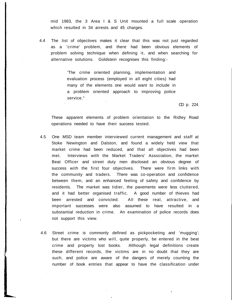mid 1983, the 3 Area I & S Unit mounted a full scale operation which resulted in 34 arrests and 45 charges.

4.4 The list of objectives makes it clear that this was not just regarded as a 'crime' problem, and there had been obvious elements of problem solving technique when defining it, and when searching for alternative solutions. Goldstein recognises this finding:-

> 'The crime oriented planning, implementation and evaluation process (employed in all eight cities) had many of the elements one would want to include in a problem oriented approach to improving police service."

> > CD p. 224

These apparent elements of problem orientation to the Ridley Road operations needed to have their success tested.

- 4.5 One MSD team member interviewed current management and staff at 5toke Newington and Dalston, and found a widely held view that market crime had been reduced, and that all objectives had been met. Interviews with the Market Traders' Association, the market Beat Officer and street duty men disclosed an obvious degree of success with the first four objectives. There were firm links with the community and traders. There was co-operation and confidence between them, and an enhanced feeling of safety and confidence by residents. The market was tidier, the pavements were less cluttered, and it had better organised traffic. A good number of thieves had been arrested and convicted. All these real, attractive, and important successes were also assumed to have resulted in a substantial reduction in crime. An examination of police records does not support this view.
- 4.6 Street crime is commonly defined as pickpocketing and 'mugging'; but there are victims who will, quite properly, be entered in the beat crime and property lost books. Although legal definitions create these different records, the victims are in no doubt that they are such, and police are aware of the dangers of merely counting the number of book entries that appear to have the classification under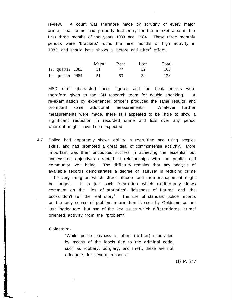review. A count was therefore made by scrutiny of every major crime, beat crime and property lost entry for the market area in the first three months of the years 1983 and 1984. These three monthly periods were 'brackets' round the nine months of high activity in 1983, and should have shown a 'before and after $<sup>1</sup>$  effect.</sup>

|                  | Major | Beat | Lost | Total |
|------------------|-------|------|------|-------|
| 1st quarter 1983 | 51    | 22   | 32   | 105   |
| 1st quarter 1984 | 51    | 53   | 34   | 138   |

MSD staff abstracted these figures and the book entries were therefore given to the GN research team for double checking. A re-examination by experienced officers produced the same results, and prompted some additional measurements. Whatever further measurements were made, there still appeared to be little to show a significant reduction in recorded crime and loss over any period where it might have been expected.

4.7 Police had apparently shown ability in recruiting and using peoples skills, and had promoted a great deal of commonsense activity. More important was their undoubted success in achieving the essential but unmeasured objectives directed at relationships with the public, and community well being. The difficulty remains that any analysis of available records demonstrates a degree of 'failure' in reducing crime - the very thing on which street officers and their management might be judged. It is just such frustration which traditionally draws comment on the 'lies of statistics', 'falseness of figures' and 'the books don't tell the real story<sup>1</sup>. The use of standard police records as the only source of problem information is seen by Goldstein as not just inadequate, but one of the key issues which differentiates 'crime' oriented activity from the 'problem\*.

Goldstein:-

"While police business is often (further) subdivided by means of the labels tied to the criminal code, such as robbery, burglary, and theft, these are not adequate, for several reasons."

(1) P. 247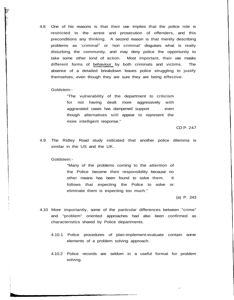4.8 One of his reasons is that their use implies that the police role is restricted to the arrest and prosecution of offenders, and this preconditions any thinking. A second reason is that merely describing problems as 'criminal $^1$  or 'non criminal' disguises what is really disturbing the community, and may deny police the opportunity to take some other kind of action. Most important, their use masks different forms of behaviour by both criminals and victims. The absence of a detailed breakdown leaves police struggling to justify themselves, even though they are sure they are being effective.

#### Goldstein:-

"The vulnerability of the department to criticism for not having dealt more aggressively with aggravated cases has dampened support even though alternatives still appear to represent the more intelligent response."

CD P. 247

4.9 The Ridley Road study indicated that another police dilemma is similar in the US and the UK.

#### Goldstein:-

"Many of the problems coming to the attention of the Police become their responsibility because no other means has been found to solve them. It follows that expecting the Police to solve or eliminate them is expecting too much."

(a) P. 243

- 4.10 More importantly, some of the particular differences between "crime" and "problem" oriented approaches had also been confirmed as characteristics shared by Police departments.
	- 4.10.1 Police procedures of plan-implement-evaluate contain some elements of a problem solving approach.
	- 4.10.2 Police records are seldom in a useful format for problem solving.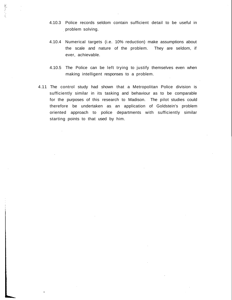4.10.3 Police records seldom contain sufficient detail to be useful in problem solving.

- 4.10.4 Numerical targets (i.e. 10% reduction) make assumptions about the scale and nature of the problem. They are seldom, if ever, achievable.
- 4.10.5 The Police can be left trying to justify themselves even when making intelligent responses to a problem.
- 4.11 The control study had shown that a Metropolitan Police division is sufficiently similar in its tasking and behaviour as to be comparable for the purposes of this research to Madison. The pilot studies could therefore be undertaken as an application of Goldstein's problem oriented approach to police departments with sufficiently similar starting points to that used by him.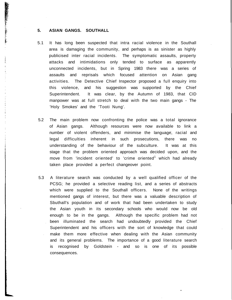### **5. ASIAN GANGS. SOUTHALL**

**「最後の場合」には、「最後の場合」ということになる。これは、「その場合」という意味が、この時に、「その場合」ということになる。「その場合」ということになる。「その場合」ということになる。「その場合」ということになる。「その場合」ということになる。「その場合」ということになる。** 

 $\frac{1}{\epsilon}$ 

conditions.

- 5.1 It has long been suspected that intra racial violence in the Southall area is damaging the community, and perhaps is as sinister as highly publicised inter racial incidents. The symptomatic assaults, property attacks and intimidations only tended to surface as apparently unconnected incidents, but in Spring 1983 there was a series of assaults and reprisals which focused attention on Asian gang activities. The Detective Chief Inspector proposed a full enquiry into this violence, and his suggestion was supported by the Chief Superintendent. It was clear, by the Autumn of 1983, that CID manpower was at full stretch to deal with the two main gangs - The 'Holy Smokes' and the 'Tooti Nung'.
- 5.2 The main problem now confronting the police was a total ignorance of Asian gangs. Although resources were now available to link a number of violent offenders, and minimise the language, racial and legal difficulties inherent in such prosecutions, there was no understanding of the behaviour of the subculture. It was at this stage that the problem oriented approach was decided upon, and the move from 'incident oriented' to 'crime oriented<sup>1</sup> which had already taken place provided a perfect changeover point.
- 5.3 A literature search was conducted by a well qualified officer of the PCSG; he provided a selective reading list, and a series of abstracts which were supplied to the Southall officers. None of the writings mentioned gangs of interest, but there was a valuable description of Sbuthall's population and of work that had been undertaken to study the Asian youth in its secondary schools who would now be old enough to be in the gangs. Although the specific problem had not been illuminated the search had undoubtedly provided the Chief Superintendent and his officers with the sort of knowledge that could make them more effective when dealing with the Asian community and its general problems. The importance of a good literature search is recognised by Goldstein - and so is one of its possible consequences.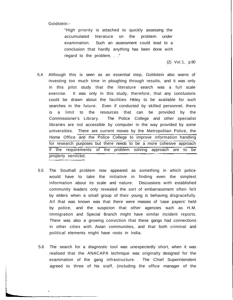Goidstein:-

í.

"High priority is attached to quickly assessing the accumulated literature on the problem under examination. Such an assessment could lead to a conclusion that hardly anything has been done with regard to the problem  $\ldots$ ."

(2) Vol.1, p.90

- 5.4 Although this is seen as an essential step, Goldstein also warns of investing too much time in ploughing through results, and it was only in this pilot study that the literature search was a full scale exercise. It was only in this study, therefore, that any conclusions could be drawn about the facilities Hkley to be available for such searches in the future. Even if conducted by skilled personnel, there is a limit to the resources that can be provided by the Commissioner's Library. The Police College and other specialist libraries are not accessible by computer in the way provided by some universities. There are current moves by the Metropolitan Police, the Home Office and the Police College to improve information handling for research purposes but there needs to be a more cohesive approach if the requirements of the problem solving approach are to be properly serviced.
- 5.5 The Southall problem now appeared as something in which police would have to take the initiative in finding even the simplest information about its scale and nature. Discussions with established community leaders only revealed the sort of embarrassment often felt by elders when a small group of their young is behaving disgracefully. All that was known was that there were masses of 'case papers' held by police, and the suspicion that other agencies such as H.M. Immigration and Special Branch might have similar incident reports. There was also a growing conviction that these gangs had connections in other cities with Asian communities, and that both criminal and political elements might have roots in India.
- 5.6 The search for a diagnostic tool was unexpectedly short, when it was realised that the ANACAPA technique was originally designed for the examination of the gang infrastructure. The Chief Superintendent agreed to three of his staff, (including the office manager of the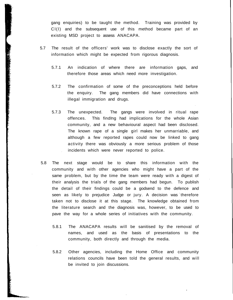gang enquiries) to be taught the method. Training was provided by Cl(l) and the subsequent use of this method became part of an existing MSD project to assess ANACAPA.

5.7 The result of the officers' work was to disclose exactly the sort of information which might be expected from rigorous diagnosis.

- 5.7.1 An indication of where there are information gaps, and therefore those areas which need more investigation.
- 5.7.2 The confirmation of some of the preconceptions held before the enquiry. The gang members did have connections with illegal immigration and drugs.
- 5.7.3 The unexpected. The gangs were involved in ritual rape offences. This finding had implications for the whole Asian community, and a new behavioural aspect had been disclosed. The known rape of a single girl makes her unmarriable, and although a few reported rapes could now be linked to gang activity there was obviously a more serious problem of those incidents which were never reported to police.
- 5.8 The next stage would be to share this information with the community and with other agencies who might have a part of the same problem, but by the time the team were ready with a digest of their analysis the trials of the gang members had begun. To publish the detail of their findings could be a godsend to the defence and seen as likely to prejudice Judge or jury. A decision was therefore taken not to disclose it at this stage. The knowledge obtained from the literature search and the diagnosis was, however, to be used to pave the way for a whole series of initiatives with the community.
	- 5.8.1 The ANACAPA results will be sanitised by the removal of names, and used as the basis of presentations to the community, both directly and through the media.
	- 5.8.2 Other agencies, including the Home Office and community relations councils have been told the general results, and will be invited to join discussions.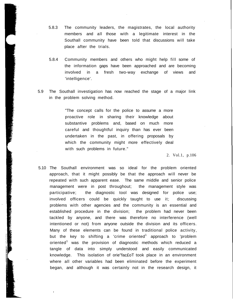- 5.8.3 The community leaders, the magistrates, the local authority members and all those with a legitimate interest in the Southall community have been told that discussions will take place after the trials.
- 5.8.4 Community members and others who might help fill some of the information gaps have been approached and are becoming involved in a fresh two-way exchange of views and 'intelligence'.
- 5.9 The Southall investigation has now reached the stage of a major link in the problem solving method.

"The concept calls for the police to assume a more proactive role in sharing their knowledge about substantive problems and, based on much more careful and thoughtful inquiry than has ever been undertaken in the past, in offering proposals by which the community might more effectively deal with such problems in future."

2. Vol.1, p.106

5.10 The Southall environment was so ideal for the problem oriented approach, that it might possibly be that the approach will never be repeated with such apparent ease. The same middle and senior police management were in post throughout; the management style was participative; the diagnostic tool was designed for police use; involved officers could be quickly taught to use it; discussing problems with other agencies and the community is an essential and established procedure in the division; the problem had never been tackled by anyone, and there was therefore no interference (well intentioned or not) from anyone outside the division and its officers. Many of these elements can be found in traditional police activity, but the key to shifting a 'crime oriented $^1$  approach to 'problem oriented<sup>1</sup> was the provision of diagnostic methods which reduced a tangle of data into simply understood and easily communicated knowledge. This isolation of orie"fac£oT took place in an environment where all other variables had been eliminated before the experiment began, and although it was certainly not in the research design, it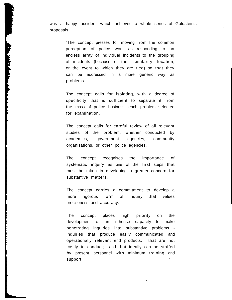was a happy accident which achieved a whole series of Goldstein's proposals.

> "The concept presses for moving from the common perception of police work as responding to an endless array of individual incidents to the grouping of incidents (because of their similarity, location, or the event to which they are tied) so that they can be addressed in a more generic way as problems.

The concept calls for isolating, with a degree of specificity that is sufficient to separate it from the mass of police business, each problem selected for examination.

The concept calls for careful review of all relevant studies of the problem, whether conducted by academics, government agencies, community organisations, or other police agencies.

The concept recognises the importance of systematic inquiry as one of the first steps that must be taken in developing a greater concern for substantive matters.

The concept carries a commitment to develop a more rigorous form of inquiry that values preciseness and accuracy.

The concept places high priority on the development of an in-house capacity to make penetrating inquiries into substantive problems inquiries that produce easily communicated and operationally relevant end products; that are not costly to conduct; and that ideally can be staffed by present personnel with minimum training and support.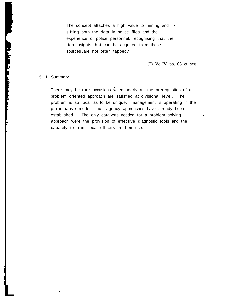The concept attaches a high value to mining and sifting both the data in police files and the experience of police personnel, recognising that the rich insights that can be acquired from these sources are not often tapped."

## (2) Vol.IV pp.103 et seq.

### 5.11 Summary

**L**

There may be rare occasions when nearly all the prerequisites of a problem oriented approach are satisfied at divisional level. The problem is so local as to be unique: management is operating in the participative mode: multi-agency approaches have already been established. The only catalysts needed for a problem solving approach were the provision of effective diagnostic tools and the capacity to train local officers in their use.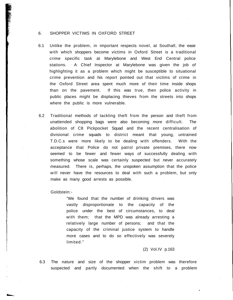#### 6. SHOPPER VICTIMS IN OXFORD STREET

- 6.1 Unlike the problem, in important respects novel, at Southall, the ease with which shoppers become victims in Oxford Street is a traditional crime specific task at Marylebone and West End Central police stations. A Chief Inspector at Marylebone was given the job of highlighting it as a problem which might be susceptible to situational crime prevention and his report pointed out that victims of crime in the Oxford Street area spent much more of their time inside shops than on the pavement. If this was true, then police activity in public places might be displacing thieves from the streets into shops where the public is more vulnerable.
- 6.2 Traditional methods of tackling theft from the person and theft from unattended shopping bags were also becoming more difficult. The abolition of C8 Pickpocket Squad and the recent centralisation of divisional crime squads to district meant that young, untrained T.D.C.s were more likely to be dealing with offenders. With the acceptance that Police do not patrol private premises, there now seemed to be fewer and fewer ways of successfully dealing with something whose scale was certainly suspected but never accurately measured. There is, perhaps, the unspoken assumption that the police will never have the resources to deal with such a problem, but only make as many good arrests as possible.

Goldstein:-

"We found that the number of drinking drivers was vastly disproportionate to the capacity of the police under the best of circumstances, to deal with them; that the MPD was already arresting a relatively large number of persons; and that the capacity of the criminal justice system to handle more cases and to do so effectively was severely limited."

(2) Vol.IV p.163

6.3 The nature and size of the shopper victim problem was therefore suspected and partly documented when the shift to a problem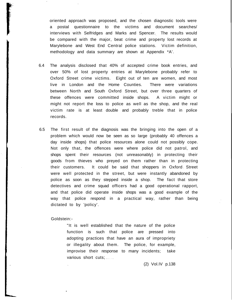oriented approach was proposed, and the chosen diagnostic tools were a postal questionnaire to the victims and document searches/ interviews with Selfridges and Marks and Spencer. The results would be compared with the major, beat crime and property lost records at Marylebone and West End Central police stations. Victim definition, methodology and data summary are shown at Appendix \*A'.

- 6.4 The analysis disclosed that 40% of accepted crime book entries, and over 50% of lost property entries at Marylebone probably refer to Oxford Street crime victims. Eight out of ten are women, and most live in London and the Home Counties. There were variations between North and South Oxford Street, but over three quarters of these offences were committed inside shops. A victim might or might not report the loss to police as well as the shop, and the real victim rate is at least double and probably treble that in police records.
- 6.5 The first result of the diagnosis was the bringing into the open of a problem which would now be seen as so large (probably 40 offences a day inside shops) that police resources alone could not possibly cope. Not only that, the offences were where police did not patrol, and shops spent their resources (not unreasonably) in protecting their goods from thieves who preyed on them rather than in protecting their customers. It could be said that shoppers in Oxford Street were well protected in the street, but were instantly abandoned by police as soon as they stepped inside a shop. The fact that store detectives and crime squad officers had a good operational rapport, and that police did operate inside shops was a good example of the way that police respond in a practical way, rather than being dictated to by 'policy'.

Goldstein:-

"It is well established that the nature of the police function is such that police are pressed into adopting practices that have an aura of impropriety or illegality about them. The police, for example, improvise their response to many incidents; take various short cuts; ....

(2) Vol.IV p.138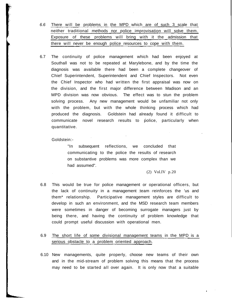- 6.6 There will be problems in the MPD which are of such 3 scale that neither traditional methods nor police improvisation will solve them. Exposure of these problems will bring with it the admission that there will never be enough police resources to cope with them.
- 6.7 The continuity of police management which had been enjoyed at Southall was not to be repeated at Marylebone, and by the time the diagnosis was available there had been a complete changeover of Chief Superintendent, Superintendent and Chief Inspectors. Not even the Chief Inspector who had written the first appraisal was now on the division, and the first major difference between Madison and an MPD division was now obvious. The effect was to stun the problem solving process. Any new management would be unfamiliar not only with the problem, but with the whole thinking process which had produced the diagnosis. Goldstein had already found it difficult to communicate novel research results to police, particularly when quantitative.

#### Goldstein:-

"In subsequent reflections, we concluded that communicating to the police the results of research on substantive problems was more complex than we had assumed".

(2) Vol.IV p.20

6.8 This would be true for police management or operational officers, but the lack of continuity in a management team reinforces the 'us and them\* relationship. Participative management styles are difficult to develop in such an environment, and the MSD research team members were sometimes in danger of becoming surrogate managers just by being there, and having the continuity of problem knowledge that could prompt useful discussion with operational men.

## 6.9 The short life of some divisional management teams in the MPD is a serious obstacle to a problem oriented approach.

6.10 New managements, quite properly, choose new teams of their own and in the mid-stream of problem solving this means that the process may need to be started all over again. It is only now that a suitable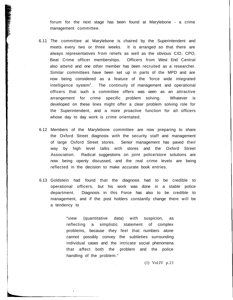forum for the next stage has been found at Marylebone - a crime management committee.

- 6.11 The committee at Marylebone is chaired by the Superintendent and meets every two or three weeks. It is arranged so that there are always representatives from reliefs as well as the obvious CID, CPO, Beat Crime officer memberships. Officers from West End Central also attend and one other member has been recruited as a researcher. Similar committees have been set up in parts of the MPD and are now being considered as a feature of the 'force wide integrated intelligence system<sup>1</sup>. The continuity of management and operational officers that such a committee offers was seen as an attractive arrangement for crime specific problem solving. Whatever is developed on these lines might offer a clear problem solving role for the Superintendent, and a more proactive function for all officers whose day to day work is crime orientated.
- 6.12 Members of the Marylebone committee are now preparing to share the Oxford Street diagnosis with the security staff and management of large Oxford Street stores. Senior management has paved their way by high level talks with stores and the Oxford Street Association. Radical suggestions on joint police/store solutions are now being openly discussed, and the real crime levels are being reflected in the decision to make accurate book entries.
- 6.13 Goldstein had found that the diagnosis had to be credible to operational officers, but his work was done in a stable police department. Diagnosis in this Force has also to be credible to management, and if the post holders constantly change there will be a tendency to

"view (quantitative data) with suspicion, as reflecting a simplistic statement of complex problems, because they feel that numbers alone cannot possibly convey the subtleties surrounding individual cases and the intricate social phenomena that affect both the problem and the police handling of the problem."

(1) Vol.IV p.21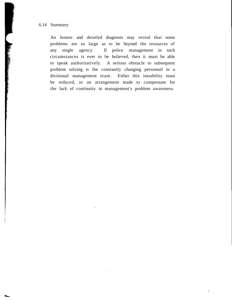6.14 Summary

An honest and detailed diagnosis may reveal that some problems are so large as to be beyond the resources of any single agency. If police management in such circumstances is ever to be believed, then it must be able to speak authoritatively. A serious obstacle to subsequent problem solving is the constantly changing personnel in a divisional management team. Either this instability must be reduced, or an arrangement made to compensate for the lack of continuity in management's problem awareness.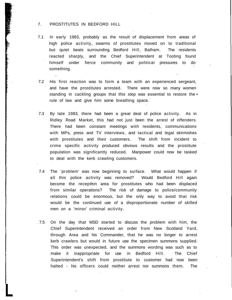### 7. PROSTITUTES IN BEDFORD HILL

- 7.1 In early 1983, probably as the result of displacement from areas of high police activity, swarms of prostitutes moved on to traditional but quiet beats surrounding Bedford Hill, Balham. The residents reacted sharply, and the Chief Superintendent at Tooting found himself under fierce community and political pressures to do something.
- 7.2 His first reaction was to form a team with an experienced sergeant, and have the prostitutes arrested. There were now so many women standing in cackling groups that this step was essential to restore the • rule of law and give him some breathing space.
- 7.3 By late 1983, there had been a great deal of police activity. As in Ridley Road Market, this had not just been the arrest of offenders. There had been constant meetings with residents, communications with MPs, press and TV interviews, and tactical and legal skirmishes with prostitutes and their customers. The shift from incident to crime specific activity produced obvious results and the prostitute population was significantly reduced. Manpower could now be tasked to deal with the kerb crawling customers.
- 7.4 The 'problem' was now beginning to surface. What would happen if all this police activity was removed? Would Bedford Hill again become the reception area for prostitutes who had been displaced from similar operations? The risk of damage to police/community relations could be enormous, but the only way to avoid that risk would be the continued use of a disproportionate number of skilled men on a 'minor' criminal activity.
- 7.5 On the day that MSD started to discuss the problem with him, the Chief Superintendent received an order from New Scotland Yard, through Area and his Commander, that he was no longer to arrest kerb crawlers but would in future use the specimen summons supplied. This order was unexpected, and the summons wording was such as to make it inappropriate for use in Bedford Hill. The Chief Superintendent's shift from prostitute to customer had now been halted - his officers could neither arrest nor summons them. The

**L**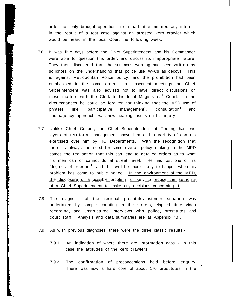order not only brought operations to a halt, it eliminated any interest in the result of a test case against an arrested kerb crawler which would be heard in the local Court the following week.

7.6 It was five days before the Chief Superintendent and his Commander were able to question this order, and discuss its inappropriate nature. They then discovered that the summons wording had been written by solicitors on the understanding that police use WPCs as decoys. This is against Metropolitan Police policy, and the prohibition had been emphasised in the same order. In subsequent meetings the Chief Superintendent was also advised not to have direct discussions on these matters with the Clerk to his local Magistrates<sup>1</sup> Court. In the circumstances he could be forgiven for thinking that the MSD use of  $phrases$  like 'participative management<sup>1</sup>,  $\text{"constant"}$  and 'multiagency approach<sup>1</sup> was now heaping insults on his injury.

- 7.7 Unlike Chief Couper, the Chief Superintendent at Tooting has two layers of territorial management above him and a variety of controls exercised over him by HQ Departments. With the recognition that there is always the need for some overall policy making in the MPD comes the realisation that this can lead to detailed orders as to what his men can or cannot do at street level. He has lost one of his 'degrees of freedom<sup>1</sup>, and this will be more likely to happen when his problem has come to public notice. In the environment of the MPD, the disclosure of a possible problem is likely to reduce the authority of a Chief Superintendent to make any decisions concerning it.
- 7.8 The diagnosis of the residual prostitute /customer situation was undertaken by sample counting in the streets, elapsed time video recording, and unstructured interviews with police, prostitutes and court staff. Analysis and data summaries are at Appendix 'B'.
- 7.9 As with previous diagnoses, there were the three classic results:-
	- 7.9.1 An indication of where there are information gaps in this case the attitudes of the kerb crawlers.
	- 7.9.2 The confirmation of preconceptions held before enquiry. There was now a hard core of about 170 prostitutes in the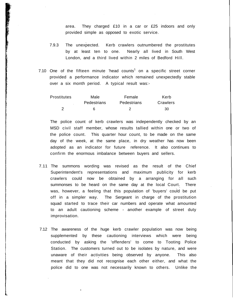area. They charged £10 in a car or £25 indoors and only provided simple as opposed to exotic service.

- 7.9.3 The unexpected. Kerb crawlers outnumbered the prostitutes by at least ten to one. Nearly all lived in South West London, and a third lived within 2 miles of Bedford Hill.
- 7.10 One of the fifteen minute 'head counts<sup>1</sup> on a specific street corner provided a performance indicator which remained unexpectedly stable over a six month period. A typical result was:-

| Prostitutes | Male               | Female             | Kerb     |
|-------------|--------------------|--------------------|----------|
|             | <b>Pedestrians</b> | <b>Pedestrians</b> | Crawlers |
|             | ĥ                  |                    | 30       |

The police count of kerb crawlers was independently checked by an MSD civil staff member, whose results tallied within one or two of the police count. This quarter hour count, to be made on the same day of the week, at the same place, in dry weather has now been adopted as an indicator for future reference. It also continues to confirm the enormous imbalance between buyers and sellers.

- 7.11 The summons wording was revised as the result of the Chief Superintendent's representations and maximum publicity for kerb crawlers could now be obtained by a arranging for all such summonses to be heard on the same day at the local Court. There was, however, a feeling that this population of 'buyers' could be put off in a simpler way. The Sergeant in charge of the prostitution squad started to trace their car numbers and operate what amounted to an adult cautioning scheme - another example of street duty improvisation.
- 7.12 The awareness of the huge kerb crawler population was now being supplemented by these cautioning interviews which were being conducted by asking the 'offenders' to come to Tooting Police Station. The customers turned out to be isolates by nature, and were unaware of their activities being observed by anyone. This also meant that they did not recognise each other either, and what the police did to one was not necessarily known to others. Unlike the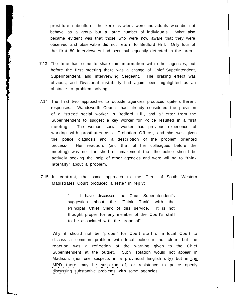prostitute subculture, the kerb crawlers were individuals who did not behave as a group but a large number of individuals. What also became evident was that those who were now aware that they were observed and observable did not return to Bedford Hill. Only four of the first 80 interviewees had been subsequently detected in the area.

- 7.13 The time had come to share this information with other agencies, but before the first meeting there was a change of Chief Superintendent, Superintendent, and interviewing Sergeant. The braking effect was obvious, and Divisional instability had again been highlighted as an obstacle to problem solving.
- 7.14 The first two approaches to outside agencies produced quite different responses. Wandsworth Council had already considered the provision of a 'street' social worker in Bedford Hill, and a ' letter from the Superintendent to suggest a key worker for Police resulted in a first meeting. The woman social worker had previous experience of working with prostitutes as a Probation Officer, and she was given the police diagnosis and a description of the problem oriented process- Her reaction, (and that of her colleagues before the meeting) was not far short of amazement that the police should be actively seeking the help of other agencies and were willing to "think laterally" about a problem.
- 7.15 In contrast, the same approach to the Clerk of South Western Magistrates Court produced a letter in reply;

"..... I have discussed the Chief Superintendent's suggestion about the 'Think Tank' with the Principal Chief Clerk of this service. It is not thought proper for any member of the Court's staff to be associated with the proposal".

Why it should not be 'proper' for Court staff of a local Court to discuss a common problem with local police is not clear, but the reaction was a reflection of the warning given to the Chief Superintendent at the outset. Such isolation would not appear in Madison, (nor one suspects in a provincial English city) but in the MPD there may be suspicion of, or resistance to police openly discussing substantive problems with some agencies.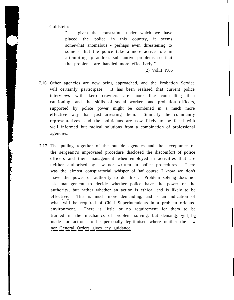Goldstein:-

" given the constraints under which we have placed the police in this country, it seems somewhat anomalous - perhaps even threatening to some - that the police take a more active role in attempting to address substantive problems so that the problems are handled more effectively."

(2) Vol.II P.85

- 7.16 Other agencies are now being approached, and the Probation Service will certainly participate. It has been realised that current police interviews with kerb crawlers are more like counselling than cautioning, and the skills of social workers and probation officers, supported by police power might be combined in a much more effective way than just arresting them. Similarly the community representatives, and the politicians are now likely to be faced with well informed but radical solutions from a combination of professional agencies.
- 7.17 The pulling together of the outside agencies and the acceptance of the sergeant's improvised procedure disclosed the discomfort of police officers and their management when employed in activities that are neither authorised by law nor written in police procedures. There was the almost conspiratorial whisper of 'taf course I know we don't have the power or authority to do this". Problem solving does not ask management to decide whether police have the power or the authority, but rather whether an action is ethical and is likely to be effective. This is much more demanding, and is an indication of what will be required of Chief Superintendents in a problem oriented environment. There is little or no requirement for them to be trained in the mechanics of problem solving, but demands will be made for actions to be personally legitimised where neither the law nor General Orders gives any guidance.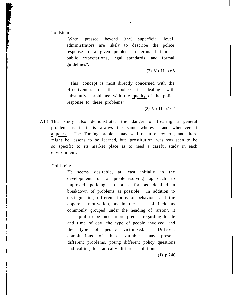Goldstein:-

"When pressed beyond (the) superficial level, administrators are likely to describe the police response to a given problem in terms that meet public expectations, legal standards, and formal guidelines".

(2) Vol.11 p.65

"(This) concept is most directly concerned with the effectiveness of the police in dealing with substantive problems; with the quality of the police response to these problems".

(2) Vol.11 p.102

7.18 This study also demonstrated the danger of treating a general problem as if it is always the same wherever and whenever it appears. The Tooting problem may well occur elsewhere, and there might be lessons to be learned, but 'prostitution' was now seen to be so specific to its market place as to need a careful study in each environment.

Goldstein:-

"It seems desirable, at least initially in the development of a problem-solving approach to improved policing, to press for as detailed a breakdown of problems as possible. In addition to distinguishing different forms of behaviour and the apparent motivation, as in the case of incidents commonly grouped under the heading of 'arson<sup>1</sup>, it is helpful to be much more precise regarding locale and time of day, the type of people involved, and the type of people victimised. Different combinations of these variables may present different problems, posing different policy questions and calling for radically different solutions."

(1) p.246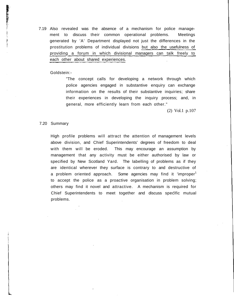7.19 Also revealed was the absence of a mechanism for police management to discuss their common operational problems. Meetings generated by 'A' Department displayed not just the differences in the prostitution problems of individual divisions but also the usefulness of providing a forum in which divisional managers can talk freely to each other about shared experiences.

### Goldstein:-

"The concept calls for developing a network through which police agencies engaged in substantive enquiry can exchange information on the results of their substantive inquiries; share their experiences in developing the inquiry process; and, in general, more efficiently learn from each other."

(2) Vol.1 p.107

### 7.20 Summary

High profile problems will attract the attention of management levels above division, and Chief Superintendents' degrees of freedom to deal with them will be eroded. This may encourage an assumption by management that any activity must be either authorised by law or specified by New Scotland Yard. The labelling of problems as if they are identical wherever they surface is contrary to and destructive of a problem oriented approach. Some agencies may find it 'improper<sup>1</sup> to accept the police as a proactive organisation in problem solving; others may find it novel and attractive. A mechanism is required for Chief Superintendents to meet together and discuss specific mutual problems.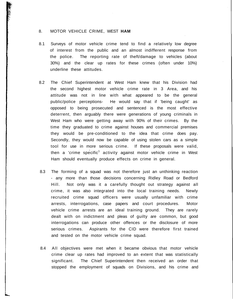## 8. MOTOR VEHICLE CRIME, WEST **HAM**

- 8.1 Surveys of motor vehicle crime tend to find a relatively low degree of interest from the public and an almost indifferent response from the police. The reporting rate of theft/damage to vehicles (about 30%) and the clear up rates for these crimes (often under 10%) underline these attitudes.
- 8.2 The Chief Superintendent at West Ham knew that his Division had the second highest motor vehicle crime rate in 3 Area, and his attitude was not in line with what appeared to be the general public/police perceptions- He would say that if 'being caught' as opposed to being prosecuted and sentenced is the most effective deterrent, then arguably there were generations of young criminals in West Ham who were getting away with 90% of their crimes. By the time they graduated to crime against houses and commercial premises they would be pre-conditioned to the idea that crime does pay. Secondly, they would now be capable of using stolen cars as a simple tool for use in more serious crime. If these proposals were valid, then a 'crime specific<sup>1</sup> activity against motor vehicle crime in West Ham should eventually produce effects on crime in general.
- 8.3 The forming of a squad was not therefore just an unthinking reaction - any more than those decisions concerning Ridley Road or Bedford Hill. Not only was it a carefully thought out strategy against all crime, it was also integrated into the local training needs. Newly recruited crime squad officers were usually unfamiliar with crime arrests, interrogations, case papers and court procedures. Motor vehicle crime arrests are an ideal training ground. They are rarely dealt with on indictment and pleas of guilty are common, but good interrogations can produce other offences or the disclosure of more serious crimes. Aspirants for the CID were therefore first trained and tested on the motor vehicle crime squad.
- 8.4 All objectives were met when it became obvious that motor vehicle crime clear up rates had improved to an extent that was statistically significant. The Chief Superintendent then received an order that stopped the employment of squads on Divisions, and his crime and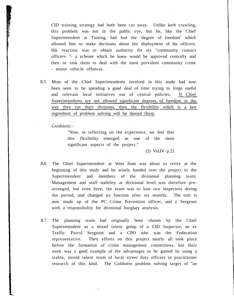CID training strategy had both been cut away. Unlike kerb crawling, this problem was not in the public eye, but he, like the Chief Superintendent at Tooting, had lost the 'degree of freedom<sup>1</sup> which allowed him to make decisions about the deployment of his officers. His reaction was to obtain authority for six "community contact officers "- a scheme which he knew would be approved centrally and then to task them to deal with the most prevalent community crime - motor vehicle offences.

8.5 Most of the Chief Superintendents involved in this study had now been seen to be spending a good deal of time trying to forge useful and relevant local initiatives out of central policies. If Chief Superintendents are not allowed significant degrees of freedom in the way they run their divisions, then the flexibility .which is a key ingredient of problem solving will be denied them.

Goidstein:-

"Now, in reflecting on the experience, we feel that this flexibility emerged as one of the most significant aspects of the project."

(2) Vol.IV p.22

- 8.6 The Chief Superintendent at West Ham was about to retire at the beginning of this study and he wisely handed over the project to the Superintendent and members of the divisional planning team. Management and staff stability at divisional level was therefore prearranged, but even here, the team was to lose two inspectors during the period, and changed its function after six months. The unit is now made up of the PC Crime Prevention officer, and a Sergeant with a responsibility for divisional burglary analysis.
- 8.7 The planning team had originally been chosen by the Chief Superintendent as a mixed talent group of a CID Inspector, an ex Traffic Patrol Sergeant and a CPO who was the Federation representative. Their efforts on this project nearly all took place before the formation of crime management committees, but their work was a good example of the advantages to be gained by using a stable, mixed talent team of local street duty officers in practitioner research of this kind. The Goldstein problem solving target of "an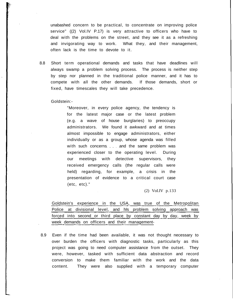unabashed concern to be practical, to concentrate on improving police service" ((2) Vol.IV P.17) is very attractive to officers who have to deal with the problems on the street, and they see it as a refreshing and invigorating way to work. What they, and their management, often lack is the time to devote to it.

8.8 Short term operational demands and tasks that have deadlines will always swamp a problem solving process. The process is neither step by step nor planned in the traditional police manner, and it has to compete with all the other demands. If those demands, short or fixed, have timescales they will take precedence.

### Goldstein:-

"Moreover, in every police agency, the tendency is for the latest major case or the latest problem (e.g. a wave of house burglaries) to preoccupy administrators. We found it awkward and at times almost impossible to engage administrators, either individually or as a group, whose agenda was filled with such concerns . . . and the same problem was experienced closer to the operating level. During our meetings with detective supervisors, they received emergency calls (the regular calls were held) regarding, for example, a crisis in the presentation of evidence to a critical court case (etc, etc)."

(2) VoI.IV p.133

Goldstein's experience in the USA, was true of the Metropolitan Police at divisional level, and his problem solving approach was forced into second or third place by constant day by day, week by week demands on officers and their management-

8.9 Even if the time had been available, it was not thought necessary to over burden the officers with diagnostic tasks, particularly as this project was going to need computer assistance from the outset. They were, however, tasked with sufficient data abstraction and record conversion to make them familiar with the work and the data content. They were also supplied with a temporary computer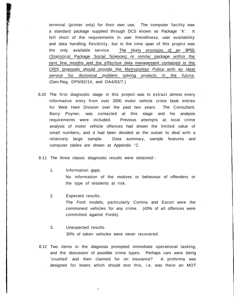terminal (printer only) for their own use. The computer facility was a standard package supplied through DCS known as Package 'X'. It fell short of the requirements in user friendliness, user availability and data handling flexibility, but in the time span of this project was the only available service. The likely provision of an SPSS (Statistical Package Social Sciences) or similar package within the next few months and the effective data management contained in the CRIS proposals should provide the Metropolitan Police with an ideal service for divisional problem solving projects in the future. (Gen.Reg. DP9/82/14, and OA4/83/7.)

- 8.10 The first diagnostic stage in this project was to extract almost every informative entry from over 2000 motor vehicle crime book entries for West Ham Division over the past two years. The Consultant, Barry Poyner, was contacted at this stage and his analysis requirements were included. Previous attempts at local crime analysis of motor vehicle offences had shown the limited value of small numbers, and it had been decided at the outset to deal with a relatively large sample. Data summary, sample features and computer tables are shown at Appendix 'C .
- 8.11 The three classic diagnostic results were obtained:-
	- 1. Information gaps. No information of the motives or behaviour of offenders or the type of residents at risk.
	- 2. Expected results. The Ford models, particularly Cortina and Escort were the commonest vehicles for any crime. (43% of all offences were committed against Fords).
	- 3. Unexpected results. 30% of taken vehicles were never recovered.
- 8.12 Two items in the diagnosis prompted immediate operational tasking, and the discussion of possible crime types. Perhaps cars were being 'crushed' and then claimed for on insurance? A proforma was designed for losers which should test this, i.e. was there an MOT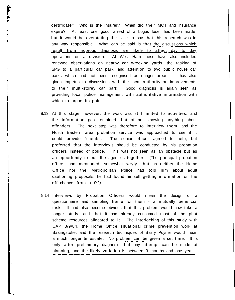certificate? Who is the insurer? When did their MOT and insurance expire? At least one good arrest of a bogus loser has been made, but it would be overstating the case to say that this research was in any way responsible. What can be said is that the discussions which result from rigorous diagnosis are likely to affect day to day operations on a division. At West Ham these have also included renewed observations on nearby car wrecking yards, the tasking of SPG to a particular car park, and attention to two public house car parks which had not been recognised as danger areas. It has also given impetus to discussions with the local authority on improvements to their multi-storey car park. Good diagnosis is again seen as providing local police management with authoritative information with which to argue its point.

◎ 「大きさ」 「大きさ」 「「「「「「「「」 」 「」 「」 「」 「」 「」 「」

- 8.13 At this stage, however, the work was still limited to activities, and the information gap remained that of not knowing anything about offenders. The next step was therefore to interview them, and the North Eastern area probation service was approached to see if it could provide 'clients'. The senior officer agreed to help, but preferred that the interviews should be conducted by his probation officers instead of police. This was not seen as an obstacle but as an opportunity to pull the agencies together. (The principal probation officer had mentioned, somewhat wryly, that as neither the Home Office nor the Metropolitan Police had told him about adult cautioning proposals, he had found himself getting information on the off chance from a PC)
- 8.14 Interviews by Probation Officers would mean the design of a questionnaire and sampling frame for them - a mutually beneficial task. It had also become obvious that this problem would now take a longer study, and that it had already consumed most of the pilot scheme resources allocated to it. The interlocking of this study with CAP 3/9/84, the Home Office situational crime prevention work at Basingstoke, and the research techniques of Barry Poyner would mean a much longer timescale. No problem can be given a set time. It is only after preliminary diagnosis that any attempt can be made at planning, and the likely variation is between 3 months and one year.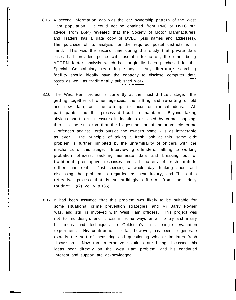- 8.15 A second information gap was the car ownership pattern of the West Ham population. It could not be obtained from PNC or DVLC but advice from B6(4) revealed that the Society of Motor Manufacturers and Traders has a data copy of DVLC (Jess names and addresses). The purchase of its analysis for the required postal districts is in hand. This was the second time during this study that private data bases had provided police with useful information, the other being ACORN factor analysis which had originally been purchased for the Special Constabulary recruiting study. Any literature searching facility should ideally have the capacity to disclose computer data bases as well as traditionally published work.
- 8.16 The West Ham project is currently at the most difficult stage: the getting together of other agencies, the sifting and re-sifting of old and new data, and the attempt to focus on radical ideas. All participants find this process difficult to maintain. Beyond taking obvious short term measures in locations disclosed by crime mapping, there is the suspicion that the biggest section of motor vehicle crime - offences against Fords outside the owner's home - is as intractable as ever. The principle of taking a fresh look at this 'same old<sup>1</sup> problem is further inhibited by the unfamiliarity of officers with the mechanics of this stage. Interviewing offenders, talking to working probation officers, tackling numerate data and breaking out of traditional prescriptive responses are all matters of fresh attitude rather than skill. Just spending a whole day thinking about and discussing the problem is regarded as near luxury, and "it is this reflective process that is so strikingly different from their daily routine". ((2) Vol.IV p.135).
- 8.17 It had been assumed that this problem was likely to be suitable for some situational crime prevention strategies, and Mr Barry Poyner was, and still is involved with West Ham officers. This project was not to his design, and it was in some ways unfair to try and marry his ideas and techniques to Goldstein's in a single evaluation experiment. His contribution so far, however, has been to generate exactly the sort of measuring and questioning which stimulates fresh discussion. Now that alternative solutions are being discussed, his ideas bear directly on the West Ham problem, and his continued interest and support are acknowledged.